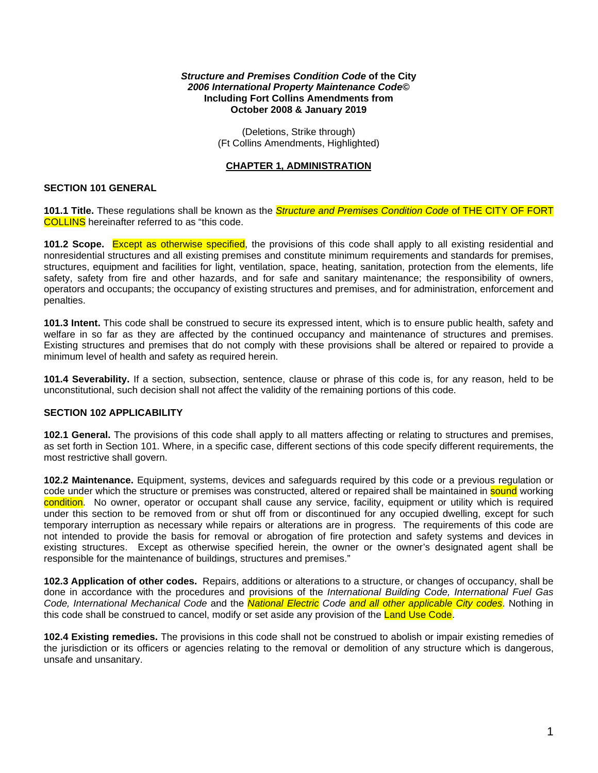#### *Structure and Premises Condition Code* **of the City** *2006 International Property Maintenance Code©* **Including Fort Collins Amendments from October 2008 & January 2019**

(Deletions, Strike through) (Ft Collins Amendments, Highlighted)

## **CHAPTER 1, ADMINISTRATION**

## **SECTION 101 GENERAL**

**101.1 Title.** These regulations shall be known as the *Structure and Premises Condition Code* of THE CITY OF FORT COLLINS hereinafter referred to as "this code.

**101.2 Scope.** Except as otherwise specified, the provisions of this code shall apply to all existing residential and nonresidential structures and all existing premises and constitute minimum requirements and standards for premises, structures, equipment and facilities for light, ventilation, space, heating, sanitation, protection from the elements, life safety, safety from fire and other hazards, and for safe and sanitary maintenance; the responsibility of owners, operators and occupants; the occupancy of existing structures and premises, and for administration, enforcement and penalties.

**101.3 Intent.** This code shall be construed to secure its expressed intent, which is to ensure public health, safety and welfare in so far as they are affected by the continued occupancy and maintenance of structures and premises. Existing structures and premises that do not comply with these provisions shall be altered or repaired to provide a minimum level of health and safety as required herein.

**101.4 Severability.** If a section, subsection, sentence, clause or phrase of this code is, for any reason, held to be unconstitutional, such decision shall not affect the validity of the remaining portions of this code.

## **SECTION 102 APPLICABILITY**

**102.1 General.** The provisions of this code shall apply to all matters affecting or relating to structures and premises, as set forth in Section 101. Where, in a specific case, different sections of this code specify different requirements, the most restrictive shall govern.

**102.2 Maintenance.** Equipment, systems, devices and safeguards required by this code or a previous regulation or code under which the structure or premises was constructed, altered or repaired shall be maintained in **sound** working condition. No owner, operator or occupant shall cause any service, facility, equipment or utility which is required under this section to be removed from or shut off from or discontinued for any occupied dwelling, except for such temporary interruption as necessary while repairs or alterations are in progress. The requirements of this code are not intended to provide the basis for removal or abrogation of fire protection and safety systems and devices in existing structures. Except as otherwise specified herein, the owner or the owner's designated agent shall be responsible for the maintenance of buildings, structures and premises."

**102.3 Application of other codes.** Repairs, additions or alterations to a structure, or changes of occupancy, shall be done in accordance with the procedures and provisions of the *International Building Code, International Fuel Gas Code, International Mechanical Code* and the *National Electric Code and all other applicable City codes*. Nothing in this code shall be construed to cancel, modify or set aside any provision of the Land Use Code.

**102.4 Existing remedies.** The provisions in this code shall not be construed to abolish or impair existing remedies of the jurisdiction or its officers or agencies relating to the removal or demolition of any structure which is dangerous, unsafe and unsanitary.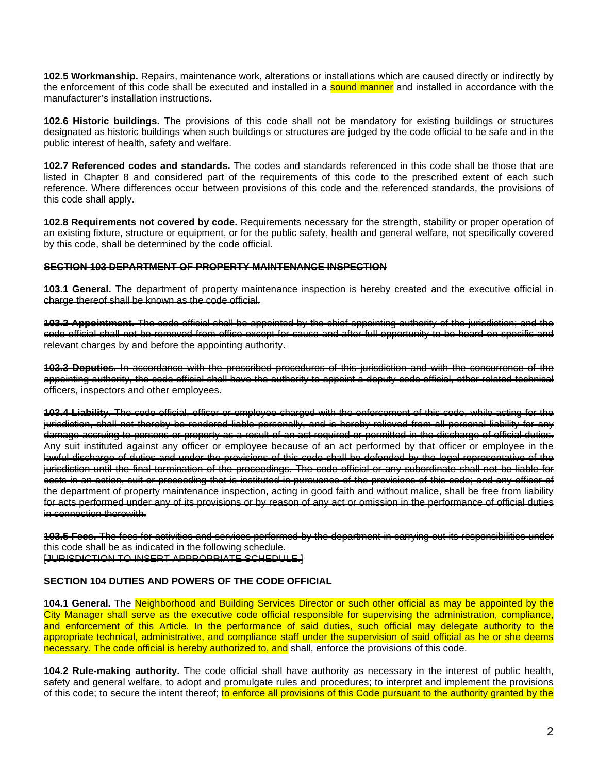**102.5 Workmanship.** Repairs, maintenance work, alterations or installations which are caused directly or indirectly by the enforcement of this code shall be executed and installed in a **sound manner** and installed in accordance with the manufacturer's installation instructions.

**102.6 Historic buildings.** The provisions of this code shall not be mandatory for existing buildings or structures designated as historic buildings when such buildings or structures are judged by the code official to be safe and in the public interest of health, safety and welfare.

**102.7 Referenced codes and standards.** The codes and standards referenced in this code shall be those that are listed in Chapter 8 and considered part of the requirements of this code to the prescribed extent of each such reference. Where differences occur between provisions of this code and the referenced standards, the provisions of this code shall apply.

**102.8 Requirements not covered by code.** Requirements necessary for the strength, stability or proper operation of an existing fixture, structure or equipment, or for the public safety, health and general welfare, not specifically covered by this code, shall be determined by the code official.

#### **SECTION 103 DEPARTMENT OF PROPERTY MAINTENANCE INSPECTION**

**103.1 General.** The department of property maintenance inspection is hereby created and the executive charge thereof shall be known as the code official.

**103.2 Appointment.** The code official shall be appointed by the chief appointing authority of the jurisdiction; and the code official shall not be removed from office except for cause and after full opportunity to be heard on specific and relevant charges by and before the appointing authority.

**103.3 Deputies.** In accordance with the prescribed procedures of this jurisdiction and with the concurrence of the appointing authority, the code official shall have the authority to appoint a deputy code official, other related technical officers, inspectors and other employees.

**103.4 Liability.** The code official, officer or employee charged with the enforcement of this code, while acting for the jurisdiction, shall not thereby be rendered liable personally, and is hereby relieved from all personal liability for any damage accruing to persons or property as a result of an act required or permitted in the discharge of official duties. Any suit instituted against any officer or employee because of an act performed by that officer or employee in the lawful discharge of duties and under the provisions of this code shall be defended by the legal representative of the jurisdiction until the final termination of the proceedings. The code official or any subordinate shall not be liable for costs in an action, suit or proceeding that is instituted in pursuance of the provisions of this code; and any officer of the department of property maintenance inspection, acting in good faith and without malice, shall be free from liability for acts performed under any of its provisions or by reason of any act or omission in the performance of official duties in connection therewith.

**103.5 Fees.** The fees for activities and services performed by the department in carrying out its responsibilities under this code shall be as indicated in the following schedule. [JURISDICTION TO INSERT APPROPRIATE SCHEDULE.]

### **SECTION 104 DUTIES AND POWERS OF THE CODE OFFICIAL**

**104.1 General.** The Neighborhood and Building Services Director or such other official as may be appointed by the City Manager shall serve as the executive code official responsible for supervising the administration, compliance, and enforcement of this Article. In the performance of said duties, such official may delegate authority to the appropriate technical, administrative, and compliance staff under the supervision of said official as he or she deems necessary. The code official is hereby authorized to, and shall, enforce the provisions of this code.

**104.2 Rule-making authority.** The code official shall have authority as necessary in the interest of public health, safety and general welfare, to adopt and promulgate rules and procedures; to interpret and implement the provisions of this code; to secure the intent thereof; to enforce all provisions of this Code pursuant to the authority granted by the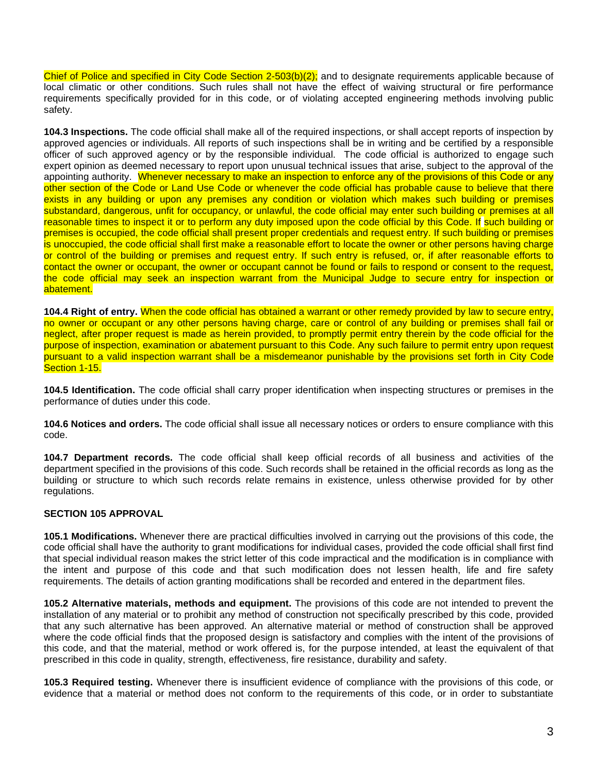Chief of Police and specified in City Code Section 2-503(b)(2); and to designate requirements applicable because of local climatic or other conditions. Such rules shall not have the effect of waiving structural or fire performance requirements specifically provided for in this code, or of violating accepted engineering methods involving public safety.

**104.3 Inspections.** The code official shall make all of the required inspections, or shall accept reports of inspection by approved agencies or individuals. All reports of such inspections shall be in writing and be certified by a responsible officer of such approved agency or by the responsible individual. The code official is authorized to engage such expert opinion as deemed necessary to report upon unusual technical issues that arise, subject to the approval of the appointing authority. Whenever necessary to make an inspection to enforce any of the provisions of this Code or any other section of the Code or Land Use Code or whenever the code official has probable cause to believe that there exists in any building or upon any premises any condition or violation which makes such building or premises substandard, dangerous, unfit for occupancy, or unlawful, the code official may enter such building or premises at all reasonable times to inspect it or to perform any duty imposed upon the code official by this Code. If such building or premises is occupied, the code official shall present proper credentials and request entry. If such building or premises is unoccupied, the code official shall first make a reasonable effort to locate the owner or other persons having charge or control of the building or premises and request entry. If such entry is refused, or, if after reasonable efforts to contact the owner or occupant, the owner or occupant cannot be found or fails to respond or consent to the request, the code official may seek an inspection warrant from the Municipal Judge to secure entry for inspection or abatement.

**104.4 Right of entry.** When the code official has obtained a warrant or other remedy provided by law to secure entry, no owner or occupant or any other persons having charge, care or control of any building or premises shall fail or neglect, after proper request is made as herein provided, to promptly permit entry therein by the code official for the purpose of inspection, examination or abatement pursuant to this Code. Any such failure to permit entry upon request pursuant to a valid inspection warrant shall be a misdemeanor punishable by the provisions set forth in City Code Section 1-15.

**104.5 Identification.** The code official shall carry proper identification when inspecting structures or premises in the performance of duties under this code.

**104.6 Notices and orders.** The code official shall issue all necessary notices or orders to ensure compliance with this code.

**104.7 Department records.** The code official shall keep official records of all business and activities of the department specified in the provisions of this code. Such records shall be retained in the official records as long as the building or structure to which such records relate remains in existence, unless otherwise provided for by other regulations.

## **SECTION 105 APPROVAL**

**105.1 Modifications.** Whenever there are practical difficulties involved in carrying out the provisions of this code, the code official shall have the authority to grant modifications for individual cases, provided the code official shall first find that special individual reason makes the strict letter of this code impractical and the modification is in compliance with the intent and purpose of this code and that such modification does not lessen health, life and fire safety requirements. The details of action granting modifications shall be recorded and entered in the department files.

**105.2 Alternative materials, methods and equipment.** The provisions of this code are not intended to prevent the installation of any material or to prohibit any method of construction not specifically prescribed by this code, provided that any such alternative has been approved. An alternative material or method of construction shall be approved where the code official finds that the proposed design is satisfactory and complies with the intent of the provisions of this code, and that the material, method or work offered is, for the purpose intended, at least the equivalent of that prescribed in this code in quality, strength, effectiveness, fire resistance, durability and safety.

**105.3 Required testing.** Whenever there is insufficient evidence of compliance with the provisions of this code, or evidence that a material or method does not conform to the requirements of this code, or in order to substantiate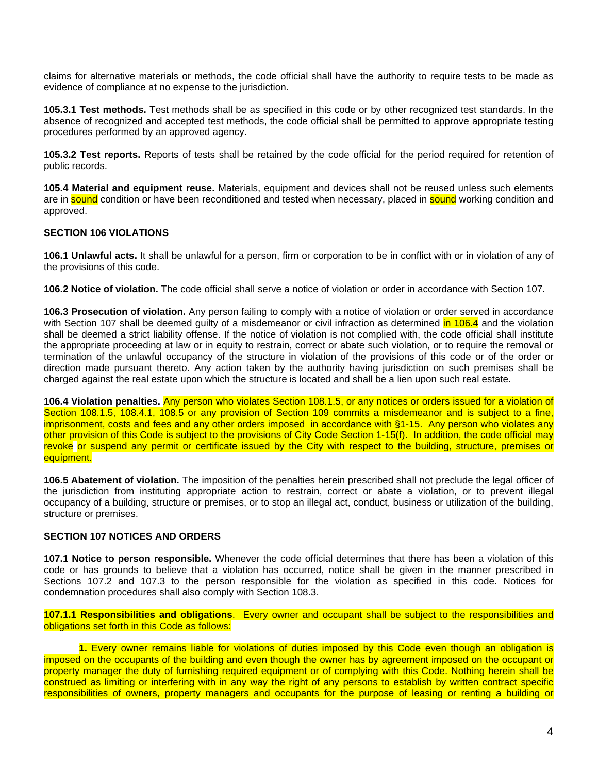claims for alternative materials or methods, the code official shall have the authority to require tests to be made as evidence of compliance at no expense to the jurisdiction.

**105.3.1 Test methods.** Test methods shall be as specified in this code or by other recognized test standards. In the absence of recognized and accepted test methods, the code official shall be permitted to approve appropriate testing procedures performed by an approved agency.

**105.3.2 Test reports.** Reports of tests shall be retained by the code official for the period required for retention of public records.

**105.4 Material and equipment reuse.** Materials, equipment and devices shall not be reused unless such elements are in sound condition or have been reconditioned and tested when necessary, placed in sound working condition and approved.

## **SECTION 106 VIOLATIONS**

**106.1 Unlawful acts.** It shall be unlawful for a person, firm or corporation to be in conflict with or in violation of any of the provisions of this code.

**106.2 Notice of violation.** The code official shall serve a notice of violation or order in accordance with Section 107.

**106.3 Prosecution of violation.** Any person failing to comply with a notice of violation or order served in accordance with Section 107 shall be deemed guilty of a misdemeanor or civil infraction as determined in 106.4 and the violation shall be deemed a strict liability offense. If the notice of violation is not complied with, the code official shall institute the appropriate proceeding at law or in equity to restrain, correct or abate such violation, or to require the removal or termination of the unlawful occupancy of the structure in violation of the provisions of this code or of the order or direction made pursuant thereto. Any action taken by the authority having jurisdiction on such premises shall be charged against the real estate upon which the structure is located and shall be a lien upon such real estate.

**106.4 Violation penalties.** Any person who violates Section 108.1.5, or any notices or orders issued for a violation of Section 108.1.5, 108.4.1, 108.5 or any provision of Section 109 commits a misdemeanor and is subject to a fine, imprisonment, costs and fees and any other orders imposed in accordance with §1-15. Any person who violates any other provision of this Code is subject to the provisions of City Code Section 1-15(f). In addition, the code official may revoke or suspend any permit or certificate issued by the City with respect to the building, structure, premises or equipment.

**106.5 Abatement of violation.** The imposition of the penalties herein prescribed shall not preclude the legal officer of the jurisdiction from instituting appropriate action to restrain, correct or abate a violation, or to prevent illegal occupancy of a building, structure or premises, or to stop an illegal act, conduct, business or utilization of the building, structure or premises.

## **SECTION 107 NOTICES AND ORDERS**

**107.1 Notice to person responsible.** Whenever the code official determines that there has been a violation of this code or has grounds to believe that a violation has occurred, notice shall be given in the manner prescribed in Sections 107.2 and 107.3 to the person responsible for the violation as specified in this code. Notices for condemnation procedures shall also comply with Section 108.3.

**107.1.1 Responsibilities and obligations**. Every owner and occupant shall be subject to the responsibilities and obligations set forth in this Code as follows:

**1.** Every owner remains liable for violations of duties imposed by this Code even though an obligation is imposed on the occupants of the building and even though the owner has by agreement imposed on the occupant or property manager the duty of furnishing required equipment or of complying with this Code. Nothing herein shall be construed as limiting or interfering with in any way the right of any persons to establish by written contract specific responsibilities of owners, property managers and occupants for the purpose of leasing or renting a building or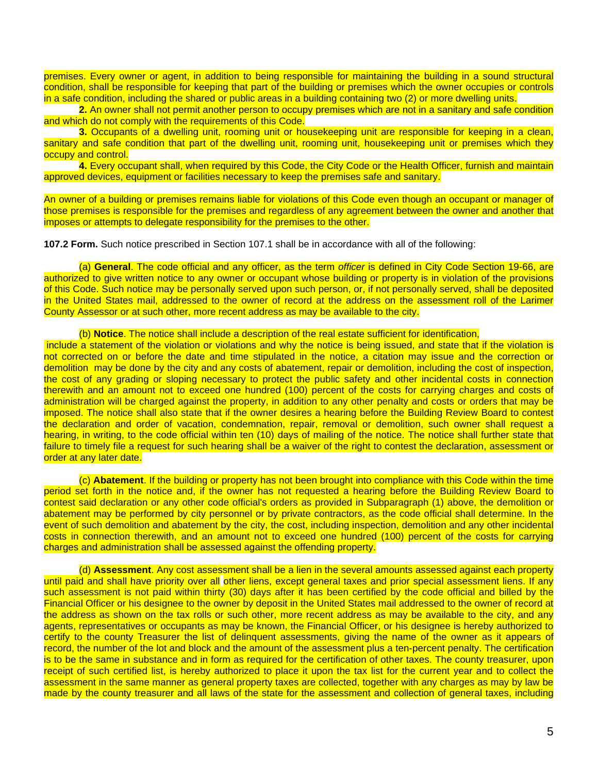premises. Every owner or agent, in addition to being responsible for maintaining the building in a sound structural condition, shall be responsible for keeping that part of the building or premises which the owner occupies or controls in a safe condition, including the shared or public areas in a building containing two (2) or more dwelling units.

**2.** An owner shall not permit another person to occupy premises which are not in a sanitary and safe condition and which do not comply with the requirements of this Code.

**3.** Occupants of a dwelling unit, rooming unit or housekeeping unit are responsible for keeping in a clean, sanitary and safe condition that part of the dwelling unit, rooming unit, housekeeping unit or premises which they occupy and control.

**4.** Every occupant shall, when required by this Code, the City Code or the Health Officer, furnish and maintain approved devices, equipment or facilities necessary to keep the premises safe and sanitary.

An owner of a building or premises remains liable for violations of this Code even though an occupant or manager of those premises is responsible for the premises and regardless of any agreement between the owner and another that imposes or attempts to delegate responsibility for the premises to the other.

**107.2 Form.** Such notice prescribed in Section 107.1 shall be in accordance with all of the following:

(a) **General**. The code official and any officer, as the term *officer* is defined in City Code Section 19-66, are authorized to give written notice to any owner or occupant whose building or property is in violation of the provisions of this Code. Such notice may be personally served upon such person, or, if not personally served, shall be deposited in the United States mail, addressed to the owner of record at the address on the assessment roll of the Larimer County Assessor or at such other, more recent address as may be available to the city.

#### (b) **Notice**. The notice shall include a description of the real estate sufficient for identification,

include a statement of the violation or violations and why the notice is being issued, and state that if the violation is not corrected on or before the date and time stipulated in the notice, a citation may issue and the correction or demolition may be done by the city and any costs of abatement, repair or demolition, including the cost of inspection, the cost of any grading or sloping necessary to protect the public safety and other incidental costs in connection therewith and an amount not to exceed one hundred (100) percent of the costs for carrying charges and costs of administration will be charged against the property, in addition to any other penalty and costs or orders that may be imposed. The notice shall also state that if the owner desires a hearing before the Building Review Board to contest the declaration and order of vacation, condemnation, repair, removal or demolition, such owner shall request a hearing, in writing, to the code official within ten (10) days of mailing of the notice. The notice shall further state that failure to timely file a request for such hearing shall be a waiver of the right to contest the declaration, assessment or order at any later date.

(c) **Abatement**. If the building or property has not been brought into compliance with this Code within the time period set forth in the notice and, if the owner has not requested a hearing before the Building Review Board to contest said declaration or any other code official's orders as provided in Subparagraph (1) above, the demolition or abatement may be performed by city personnel or by private contractors, as the code official shall determine. In the event of such demolition and abatement by the city, the cost, including inspection, demolition and any other incidental costs in connection therewith, and an amount not to exceed one hundred (100) percent of the costs for carrying charges and administration shall be assessed against the offending property.

(d) **Assessment**. Any cost assessment shall be a lien in the several amounts assessed against each property until paid and shall have priority over all other liens, except general taxes and prior special assessment liens. If any such assessment is not paid within thirty (30) days after it has been certified by the code official and billed by the Financial Officer or his designee to the owner by deposit in the United States mail addressed to the owner of record at the address as shown on the tax rolls or such other, more recent address as may be available to the city, and any agents, representatives or occupants as may be known, the Financial Officer, or his designee is hereby authorized to certify to the county Treasurer the list of delinquent assessments, giving the name of the owner as it appears of record, the number of the lot and block and the amount of the assessment plus a ten-percent penalty. The certification is to be the same in substance and in form as required for the certification of other taxes. The county treasurer, upon receipt of such certified list, is hereby authorized to place it upon the tax list for the current year and to collect the assessment in the same manner as general property taxes are collected, together with any charges as may by law be made by the county treasurer and all laws of the state for the assessment and collection of general taxes, including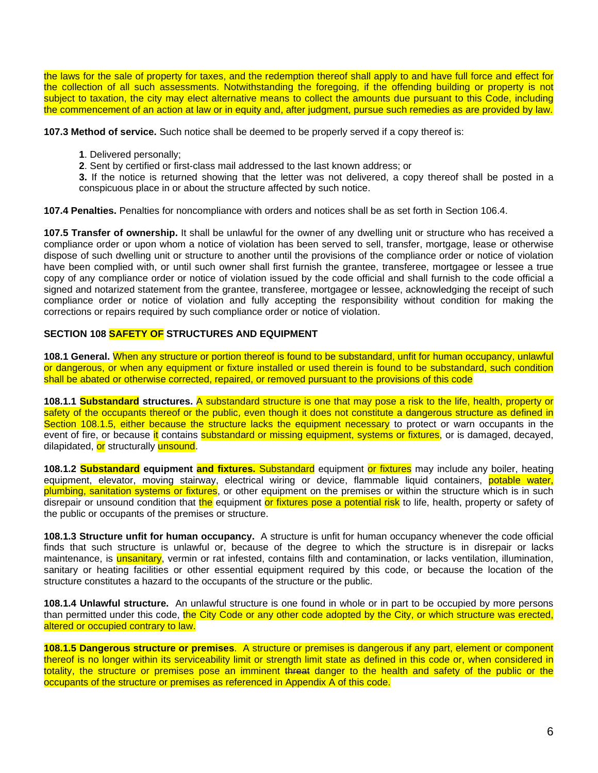the laws for the sale of property for taxes, and the redemption thereof shall apply to and have full force and effect for the collection of all such assessments. Notwithstanding the foregoing, if the offending building or property is not subject to taxation, the city may elect alternative means to collect the amounts due pursuant to this Code, including the commencement of an action at law or in equity and, after judgment, pursue such remedies as are provided by law.

**107.3 Method of service.** Such notice shall be deemed to be properly served if a copy thereof is:

**1**. Delivered personally;

**2**. Sent by certified or first-class mail addressed to the last known address; or

**3.** If the notice is returned showing that the letter was not delivered, a copy thereof shall be posted in a conspicuous place in or about the structure affected by such notice.

**107.4 Penalties.** Penalties for noncompliance with orders and notices shall be as set forth in Section 106.4.

**107.5 Transfer of ownership.** It shall be unlawful for the owner of any dwelling unit or structure who has received a compliance order or upon whom a notice of violation has been served to sell, transfer, mortgage, lease or otherwise dispose of such dwelling unit or structure to another until the provisions of the compliance order or notice of violation have been complied with, or until such owner shall first furnish the grantee, transferee, mortgagee or lessee a true copy of any compliance order or notice of violation issued by the code official and shall furnish to the code official a signed and notarized statement from the grantee, transferee, mortgagee or lessee, acknowledging the receipt of such compliance order or notice of violation and fully accepting the responsibility without condition for making the corrections or repairs required by such compliance order or notice of violation.

## **SECTION 108 SAFETY OF STRUCTURES AND EQUIPMENT**

**108.1 General.** When any structure or portion thereof is found to be substandard, unfit for human occupancy, unlawful or dangerous, or when any equipment or fixture installed or used therein is found to be substandard, such condition shall be abated or otherwise corrected, repaired, or removed pursuant to the provisions of this code

**108.1.1 Substandard structures.** A substandard structure is one that may pose a risk to the life, health, property or safety of the occupants thereof or the public, even though it does not constitute a dangerous structure as defined in Section 108.1.5, either because the structure lacks the equipment necessary to protect or warn occupants in the event of fire, or because it contains substandard or missing equipment, systems or fixtures, or is damaged, decayed, dilapidated, or structurally unsound.

**108.1.2 Substandard equipment and fixtures.** Substandard equipment or fixtures may include any boiler, heating equipment, elevator, moving stairway, electrical wiring or device, flammable liquid containers, potable water, plumbing, sanitation systems or fixtures, or other equipment on the premises or within the structure which is in such disrepair or unsound condition that the equipment or fixtures pose a potential risk to life, health, property or safety of the public or occupants of the premises or structure.

**108.1.3 Structure unfit for human occupancy.** A structure is unfit for human occupancy whenever the code official finds that such structure is unlawful or, because of the degree to which the structure is in disrepair or lacks maintenance, is **unsanitary**, vermin or rat infested, contains filth and contamination, or lacks ventilation, illumination, sanitary or heating facilities or other essential equipment required by this code, or because the location of the structure constitutes a hazard to the occupants of the structure or the public.

**108.1.4 Unlawful structure.** An unlawful structure is one found in whole or in part to be occupied by more persons than permitted under this code, the City Code or any other code adopted by the City, or which structure was erected, altered or occupied contrary to law.

**108.1.5 Dangerous structure or premises**. A structure or premises is dangerous if any part, element or component thereof is no longer within its serviceability limit or strength limit state as defined in this code or, when considered in totality, the structure or premises pose an imminent threat danger to the health and safety of the public or the occupants of the structure or premises as referenced in Appendix A of this code.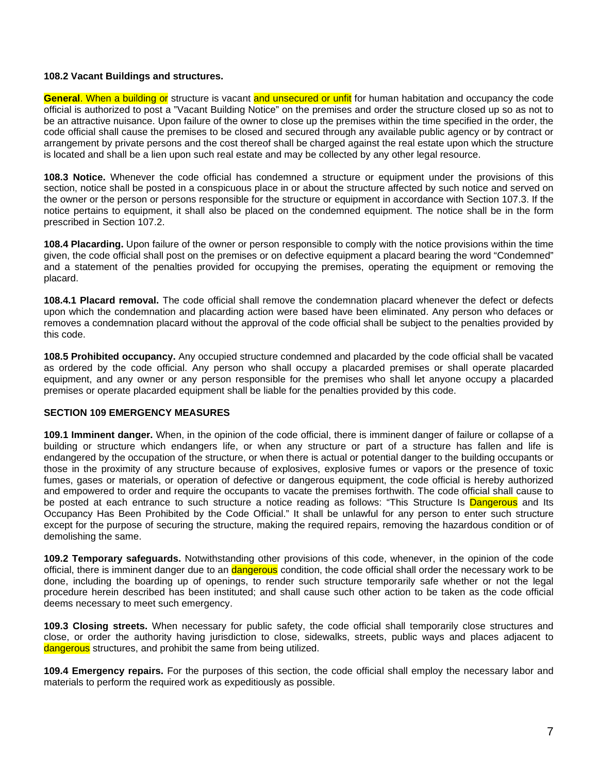### **108.2 Vacant Buildings and structures.**

**General**. When a building or structure is vacant and unsecured or unfit for human habitation and occupancy the code official is authorized to post a "Vacant Building Notice" on the premises and order the structure closed up so as not to be an attractive nuisance. Upon failure of the owner to close up the premises within the time specified in the order, the code official shall cause the premises to be closed and secured through any available public agency or by contract or arrangement by private persons and the cost thereof shall be charged against the real estate upon which the structure is located and shall be a lien upon such real estate and may be collected by any other legal resource.

**108.3 Notice.** Whenever the code official has condemned a structure or equipment under the provisions of this section, notice shall be posted in a conspicuous place in or about the structure affected by such notice and served on the owner or the person or persons responsible for the structure or equipment in accordance with Section 107.3. If the notice pertains to equipment, it shall also be placed on the condemned equipment. The notice shall be in the form prescribed in Section 107.2.

**108.4 Placarding.** Upon failure of the owner or person responsible to comply with the notice provisions within the time given, the code official shall post on the premises or on defective equipment a placard bearing the word "Condemned" and a statement of the penalties provided for occupying the premises, operating the equipment or removing the placard.

**108.4.1 Placard removal.** The code official shall remove the condemnation placard whenever the defect or defects upon which the condemnation and placarding action were based have been eliminated. Any person who defaces or removes a condemnation placard without the approval of the code official shall be subject to the penalties provided by this code.

**108.5 Prohibited occupancy.** Any occupied structure condemned and placarded by the code official shall be vacated as ordered by the code official. Any person who shall occupy a placarded premises or shall operate placarded equipment, and any owner or any person responsible for the premises who shall let anyone occupy a placarded premises or operate placarded equipment shall be liable for the penalties provided by this code.

## **SECTION 109 EMERGENCY MEASURES**

**109.1 Imminent danger.** When, in the opinion of the code official, there is imminent danger of failure or collapse of a building or structure which endangers life, or when any structure or part of a structure has fallen and life is endangered by the occupation of the structure, or when there is actual or potential danger to the building occupants or those in the proximity of any structure because of explosives, explosive fumes or vapors or the presence of toxic fumes, gases or materials, or operation of defective or dangerous equipment, the code official is hereby authorized and empowered to order and require the occupants to vacate the premises forthwith. The code official shall cause to be posted at each entrance to such structure a notice reading as follows: "This Structure Is Dangerous and Its Occupancy Has Been Prohibited by the Code Official." It shall be unlawful for any person to enter such structure except for the purpose of securing the structure, making the required repairs, removing the hazardous condition or of demolishing the same.

**109.2 Temporary safeguards.** Notwithstanding other provisions of this code, whenever, in the opinion of the code official, there is imminent danger due to an *dangerous* condition, the code official shall order the necessary work to be done, including the boarding up of openings, to render such structure temporarily safe whether or not the legal procedure herein described has been instituted; and shall cause such other action to be taken as the code official deems necessary to meet such emergency.

**109.3 Closing streets.** When necessary for public safety, the code official shall temporarily close structures and close, or order the authority having jurisdiction to close, sidewalks, streets, public ways and places adjacent to dangerous structures, and prohibit the same from being utilized.

**109.4 Emergency repairs.** For the purposes of this section, the code official shall employ the necessary labor and materials to perform the required work as expeditiously as possible.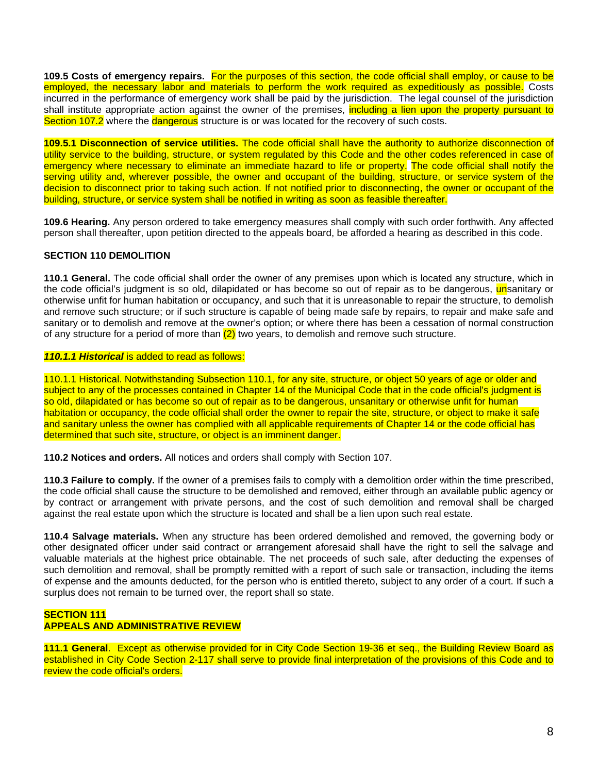**109.5 Costs of emergency repairs.** For the purposes of this section, the code official shall employ, or cause to be employed, the necessary labor and materials to perform the work required as expeditiously as possible. Costs incurred in the performance of emergency work shall be paid by the jurisdiction. The legal counsel of the jurisdiction shall institute appropriate action against the owner of the premises, including a lien upon the property pursuant to Section 107.2 where the **dangerous** structure is or was located for the recovery of such costs.

**109.5.1 Disconnection of service utilities.** The code official shall have the authority to authorize disconnection of utility service to the building, structure, or system regulated by this Code and the other codes referenced in case of emergency where necessary to eliminate an immediate hazard to life or property. The code official shall notify the serving utility and, wherever possible, the owner and occupant of the building, structure, or service system of the decision to disconnect prior to taking such action. If not notified prior to disconnecting, the owner or occupant of the building, structure, or service system shall be notified in writing as soon as feasible thereafter.

**109.6 Hearing.** Any person ordered to take emergency measures shall comply with such order forthwith. Any affected person shall thereafter, upon petition directed to the appeals board, be afforded a hearing as described in this code.

## **SECTION 110 DEMOLITION**

**110.1 General.** The code official shall order the owner of any premises upon which is located any structure, which in the code official's judgment is so old, dilapidated or has become so out of repair as to be dangerous, **un**sanitary or otherwise unfit for human habitation or occupancy, and such that it is unreasonable to repair the structure, to demolish and remove such structure; or if such structure is capable of being made safe by repairs, to repair and make safe and sanitary or to demolish and remove at the owner's option; or where there has been a cessation of normal construction of any structure for a period of more than  $(2)$  two years, to demolish and remove such structure.

## *110.1.1 Historical* is added to read as follows:

110.1.1 Historical. Notwithstanding Subsection 110.1, for any site, structure, or object 50 years of age or older and subject to any of the processes contained in Chapter 14 of the Municipal Code that in the code official's judgment is so old, dilapidated or has become so out of repair as to be dangerous, unsanitary or otherwise unfit for human habitation or occupancy, the code official shall order the owner to repair the site, structure, or object to make it safe and sanitary unless the owner has complied with all applicable requirements of Chapter 14 or the code official has determined that such site, structure, or object is an imminent danger.

**110.2 Notices and orders.** All notices and orders shall comply with Section 107.

**110.3 Failure to comply.** If the owner of a premises fails to comply with a demolition order within the time prescribed, the code official shall cause the structure to be demolished and removed, either through an available public agency or by contract or arrangement with private persons, and the cost of such demolition and removal shall be charged against the real estate upon which the structure is located and shall be a lien upon such real estate.

**110.4 Salvage materials.** When any structure has been ordered demolished and removed, the governing body or other designated officer under said contract or arrangement aforesaid shall have the right to sell the salvage and valuable materials at the highest price obtainable. The net proceeds of such sale, after deducting the expenses of such demolition and removal, shall be promptly remitted with a report of such sale or transaction, including the items of expense and the amounts deducted, for the person who is entitled thereto, subject to any order of a court. If such a surplus does not remain to be turned over, the report shall so state.

## **SECTION 111 APPEALS AND ADMINISTRATIVE REVIEW**

**111.1 General**. Except as otherwise provided for in City Code Section 19-36 et seq., the Building Review Board as established in City Code Section 2-117 shall serve to provide final interpretation of the provisions of this Code and to review the code official's orders.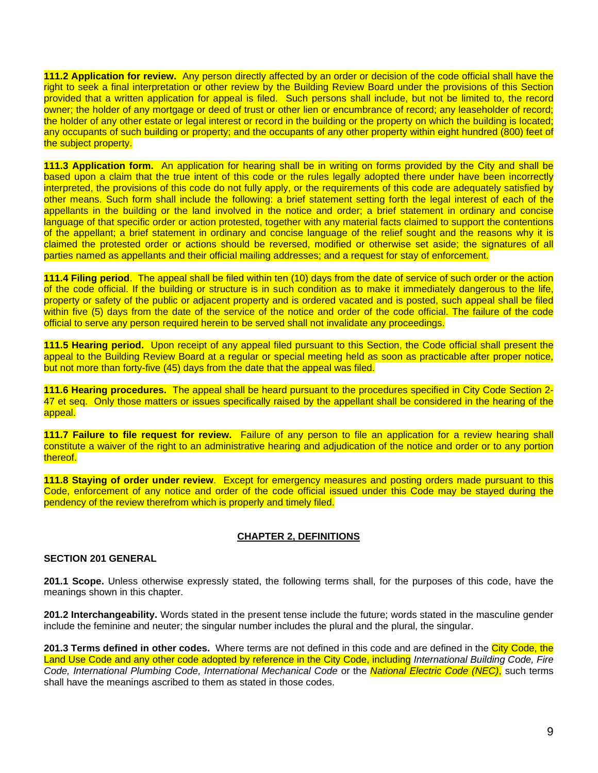**111.2 Application for review.** Any person directly affected by an order or decision of the code official shall have the right to seek a final interpretation or other review by the Building Review Board under the provisions of this Section provided that a written application for appeal is filed. Such persons shall include, but not be limited to, the record owner; the holder of any mortgage or deed of trust or other lien or encumbrance of record; any leaseholder of record; the holder of any other estate or legal interest or record in the building or the property on which the building is located: any occupants of such building or property; and the occupants of any other property within eight hundred (800) feet of the subject property.

**111.3 Application form.** An application for hearing shall be in writing on forms provided by the City and shall be based upon a claim that the true intent of this code or the rules legally adopted there under have been incorrectly interpreted, the provisions of this code do not fully apply, or the requirements of this code are adequately satisfied by other means. Such form shall include the following: a brief statement setting forth the legal interest of each of the appellants in the building or the land involved in the notice and order; a brief statement in ordinary and concise language of that specific order or action protested, together with any material facts claimed to support the contentions of the appellant; a brief statement in ordinary and concise language of the relief sought and the reasons why it is claimed the protested order or actions should be reversed, modified or otherwise set aside; the signatures of all parties named as appellants and their official mailing addresses; and a request for stay of enforcement.

**111.4 Filing period**. The appeal shall be filed within ten (10) days from the date of service of such order or the action of the code official. If the building or structure is in such condition as to make it immediately dangerous to the life, property or safety of the public or adjacent property and is ordered vacated and is posted, such appeal shall be filed within five (5) days from the date of the service of the notice and order of the code official. The failure of the code official to serve any person required herein to be served shall not invalidate any proceedings.

**111.5 Hearing period.** Upon receipt of any appeal filed pursuant to this Section, the Code official shall present the appeal to the Building Review Board at a regular or special meeting held as soon as practicable after proper notice, but not more than forty-five (45) days from the date that the appeal was filed.

**111.6 Hearing procedures.** The appeal shall be heard pursuant to the procedures specified in City Code Section 2- 47 et seq. Only those matters or issues specifically raised by the appellant shall be considered in the hearing of the appeal.

**111.7 Failure to file request for review.** Failure of any person to file an application for a review hearing shall constitute a waiver of the right to an administrative hearing and adjudication of the notice and order or to any portion thereof.

**111.8 Staying of order under review**. Except for emergency measures and posting orders made pursuant to this Code, enforcement of any notice and order of the code official issued under this Code may be stayed during the pendency of the review therefrom which is properly and timely filed.

## **CHAPTER 2, DEFINITIONS**

### **SECTION 201 GENERAL**

**201.1 Scope.** Unless otherwise expressly stated, the following terms shall, for the purposes of this code, have the meanings shown in this chapter.

**201.2 Interchangeability.** Words stated in the present tense include the future; words stated in the masculine gender include the feminine and neuter; the singular number includes the plural and the plural, the singular.

**201.3 Terms defined in other codes.** Where terms are not defined in this code and are defined in the City Code, the Land Use Code and any other code adopted by reference in the City Code, including *International Building Code, Fire Code, International Plumbing Code, International Mechanical Code* or the *National Electric Code (NEC)*, such terms shall have the meanings ascribed to them as stated in those codes.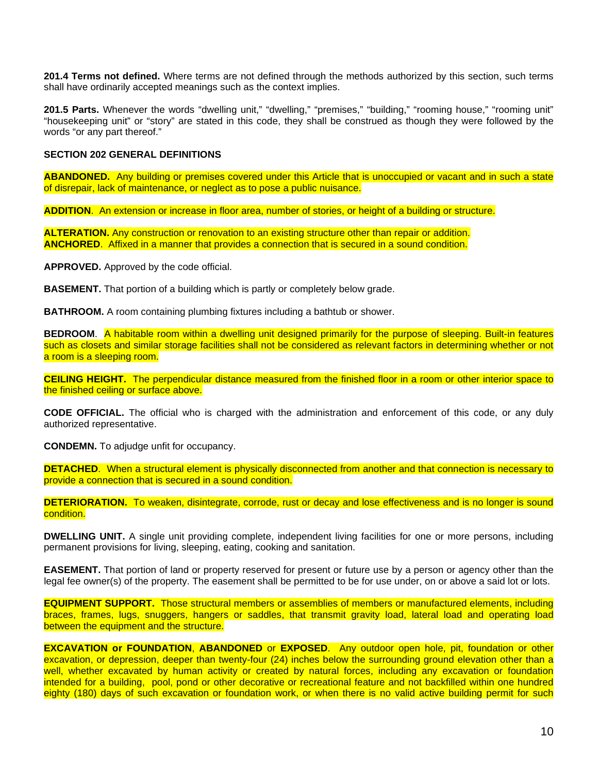**201.4 Terms not defined.** Where terms are not defined through the methods authorized by this section, such terms shall have ordinarily accepted meanings such as the context implies.

201.5 Parts. Whenever the words "dwelling unit," "dwelling," "premises," "building," "rooming house," "rooming unit" "housekeeping unit" or "story" are stated in this code, they shall be construed as though they were followed by the words "or any part thereof."

### **SECTION 202 GENERAL DEFINITIONS**

**ABANDONED.** Any building or premises covered under this Article that is unoccupied or vacant and in such a state of disrepair, lack of maintenance, or neglect as to pose a public nuisance.

**ADDITION**. An extension or increase in floor area, number of stories, or height of a building or structure.

**ALTERATION.** Any construction or renovation to an existing structure other than repair or addition. **ANCHORED**. Affixed in a manner that provides a connection that is secured in a sound condition.

**APPROVED.** Approved by the code official.

**BASEMENT.** That portion of a building which is partly or completely below grade.

**BATHROOM.** A room containing plumbing fixtures including a bathtub or shower.

**BEDROOM**. A habitable room within a dwelling unit designed primarily for the purpose of sleeping. Built-in features such as closets and similar storage facilities shall not be considered as relevant factors in determining whether or not a room is a sleeping room.

**CEILING HEIGHT.** The perpendicular distance measured from the finished floor in a room or other interior space to the finished ceiling or surface above.

**CODE OFFICIAL.** The official who is charged with the administration and enforcement of this code, or any duly authorized representative.

**CONDEMN.** To adjudge unfit for occupancy.

**DETACHED**. When a structural element is physically disconnected from another and that connection is necessary to provide a connection that is secured in a sound condition.

**DETERIORATION.** To weaken, disintegrate, corrode, rust or decay and lose effectiveness and is no longer is sound condition.

**DWELLING UNIT.** A single unit providing complete, independent living facilities for one or more persons, including permanent provisions for living, sleeping, eating, cooking and sanitation.

**EASEMENT.** That portion of land or property reserved for present or future use by a person or agency other than the legal fee owner(s) of the property. The easement shall be permitted to be for use under, on or above a said lot or lots.

**EQUIPMENT SUPPORT.** Those structural members or assemblies of members or manufactured elements, including braces, frames, lugs, snuggers, hangers or saddles, that transmit gravity load, lateral load and operating load between the equipment and the structure.

**EXCAVATION or FOUNDATION**, **ABANDONED** or **EXPOSED**. Any outdoor open hole, pit, foundation or other excavation, or depression, deeper than twenty-four (24) inches below the surrounding ground elevation other than a well, whether excavated by human activity or created by natural forces, including any excavation or foundation intended for a building, pool, pond or other decorative or recreational feature and not backfilled within one hundred eighty (180) days of such excavation or foundation work, or when there is no valid active building permit for such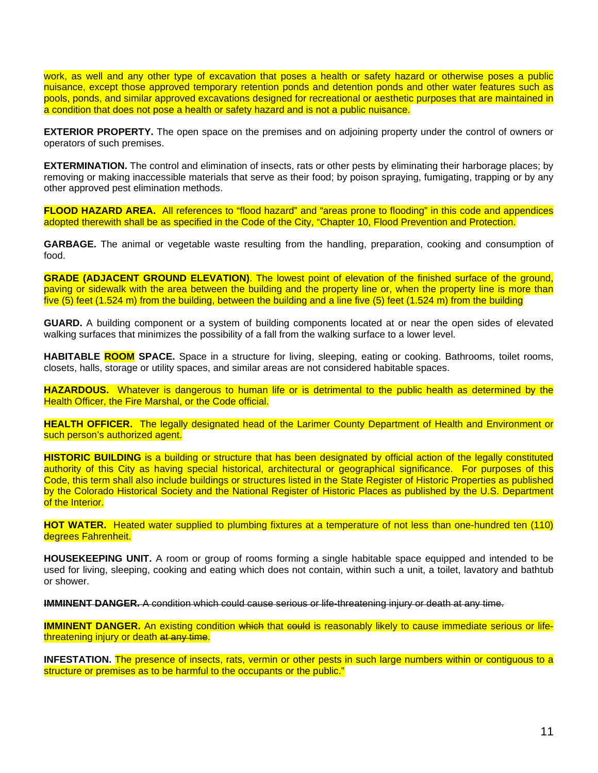work, as well and any other type of excavation that poses a health or safety hazard or otherwise poses a public nuisance, except those approved temporary retention ponds and detention ponds and other water features such as pools, ponds, and similar approved excavations designed for recreational or aesthetic purposes that are maintained in a condition that does not pose a health or safety hazard and is not a public nuisance.

**EXTERIOR PROPERTY.** The open space on the premises and on adjoining property under the control of owners or operators of such premises.

**EXTERMINATION.** The control and elimination of insects, rats or other pests by eliminating their harborage places; by removing or making inaccessible materials that serve as their food; by poison spraying, fumigating, trapping or by any other approved pest elimination methods.

**FLOOD HAZARD AREA.** All references to "flood hazard" and "areas prone to flooding" in this code and appendices adopted therewith shall be as specified in the Code of the City, "Chapter 10, Flood Prevention and Protection.

**GARBAGE.** The animal or vegetable waste resulting from the handling, preparation, cooking and consumption of food.

**GRADE (ADJACENT GROUND ELEVATION)**. The lowest point of elevation of the finished surface of the ground, paving or sidewalk with the area between the building and the property line or, when the property line is more than five (5) feet (1.524 m) from the building, between the building and a line five (5) feet (1.524 m) from the building

**GUARD.** A building component or a system of building components located at or near the open sides of elevated walking surfaces that minimizes the possibility of a fall from the walking surface to a lower level.

**HABITABLE ROOM SPACE.** Space in a structure for living, sleeping, eating or cooking. Bathrooms, toilet rooms, closets, halls, storage or utility spaces, and similar areas are not considered habitable spaces.

**HAZARDOUS.** Whatever is dangerous to human life or is detrimental to the public health as determined by the Health Officer, the Fire Marshal, or the Code official.

**HEALTH OFFICER.** The legally designated head of the Larimer County Department of Health and Environment or such person's authorized agent.

**HISTORIC BUILDING** is a building or structure that has been designated by official action of the legally constituted authority of this City as having special historical, architectural or geographical significance. For purposes of this Code, this term shall also include buildings or structures listed in the State Register of Historic Properties as published by the Colorado Historical Society and the National Register of Historic Places as published by the U.S. Department of the Interior.

**HOT WATER.** Heated water supplied to plumbing fixtures at a temperature of not less than one-hundred ten (110) degrees Fahrenheit.

**HOUSEKEEPING UNIT.** A room or group of rooms forming a single habitable space equipped and intended to be used for living, sleeping, cooking and eating which does not contain, within such a unit, a toilet, lavatory and bathtub or shower.

**IMMINENT DANGER.** A condition which could cause serious or life-threatening injury or death at any time.

**IMMINENT DANGER.** An existing condition which that could is reasonably likely to cause immediate serious or lifethreatening injury or death at any time.

**INFESTATION.** The presence of insects, rats, vermin or other pests in such large numbers within or contiguous to a structure or premises as to be harmful to the occupants or the public."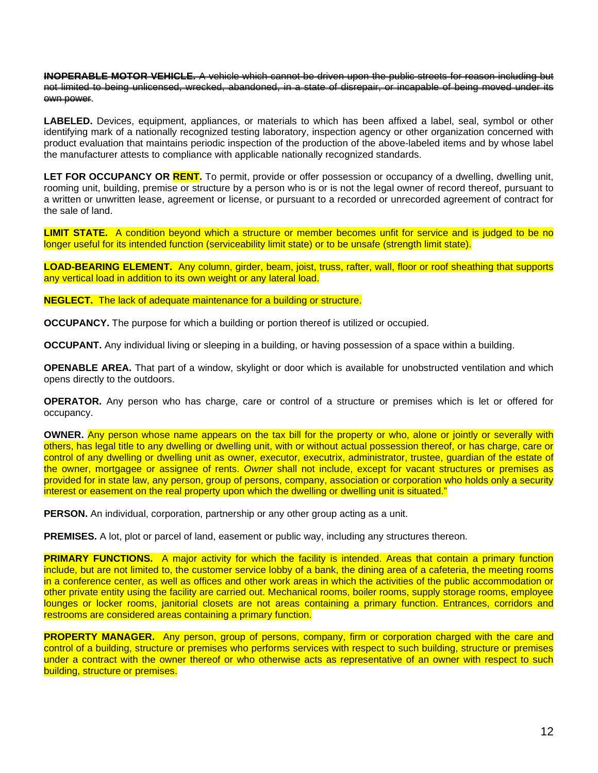**INOPERABLE MOTOR VEHICLE.** A vehicle which cannot be driven upon the public streets for reason including but not limited to being unlicensed, wrecked, abandoned, in a state of disrepair, or incapable of being moved under its own power.

**LABELED.** Devices, equipment, appliances, or materials to which has been affixed a label, seal, symbol or other identifying mark of a nationally recognized testing laboratory, inspection agency or other organization concerned with product evaluation that maintains periodic inspection of the production of the above-labeled items and by whose label the manufacturer attests to compliance with applicable nationally recognized standards.

**LET FOR OCCUPANCY OR RENT.** To permit, provide or offer possession or occupancy of a dwelling, dwelling unit, rooming unit, building, premise or structure by a person who is or is not the legal owner of record thereof, pursuant to a written or unwritten lease, agreement or license, or pursuant to a recorded or unrecorded agreement of contract for the sale of land.

**LIMIT STATE.** A condition beyond which a structure or member becomes unfit for service and is judged to be no longer useful for its intended function (serviceability limit state) or to be unsafe (strength limit state).

**LOAD-BEARING ELEMENT.** Any column, girder, beam, joist, truss, rafter, wall, floor or roof sheathing that supports any vertical load in addition to its own weight or any lateral load.

**NEGLECT.** The lack of adequate maintenance for a building or structure.

**OCCUPANCY.** The purpose for which a building or portion thereof is utilized or occupied.

**OCCUPANT.** Any individual living or sleeping in a building, or having possession of a space within a building.

**OPENABLE AREA.** That part of a window, skylight or door which is available for unobstructed ventilation and which opens directly to the outdoors.

**OPERATOR.** Any person who has charge, care or control of a structure or premises which is let or offered for occupancy.

**OWNER.** Any person whose name appears on the tax bill for the property or who, alone or jointly or severally with others, has legal title to any dwelling or dwelling unit, with or without actual possession thereof, or has charge, care or control of any dwelling or dwelling unit as owner, executor, executrix, administrator, trustee, guardian of the estate of the owner, mortgagee or assignee of rents. *Owner* shall not include, except for vacant structures or premises as provided for in state law, any person, group of persons, company, association or corporation who holds only a security interest or easement on the real property upon which the dwelling or dwelling unit is situated."

**PERSON.** An individual, corporation, partnership or any other group acting as a unit.

**PREMISES.** A lot, plot or parcel of land, easement or public way, including any structures thereon.

**PRIMARY FUNCTIONS.** A major activity for which the facility is intended. Areas that contain a primary function include, but are not limited to, the customer service lobby of a bank, the dining area of a cafeteria, the meeting rooms in a conference center, as well as offices and other work areas in which the activities of the public accommodation or other private entity using the facility are carried out. Mechanical rooms, boiler rooms, supply storage rooms, employee lounges or locker rooms, janitorial closets are not areas containing a primary function. Entrances, corridors and restrooms are considered areas containing a primary function.

**PROPERTY MANAGER.** Any person, group of persons, company, firm or corporation charged with the care and control of a building, structure or premises who performs services with respect to such building, structure or premises under a contract with the owner thereof or who otherwise acts as representative of an owner with respect to such building, structure or premises.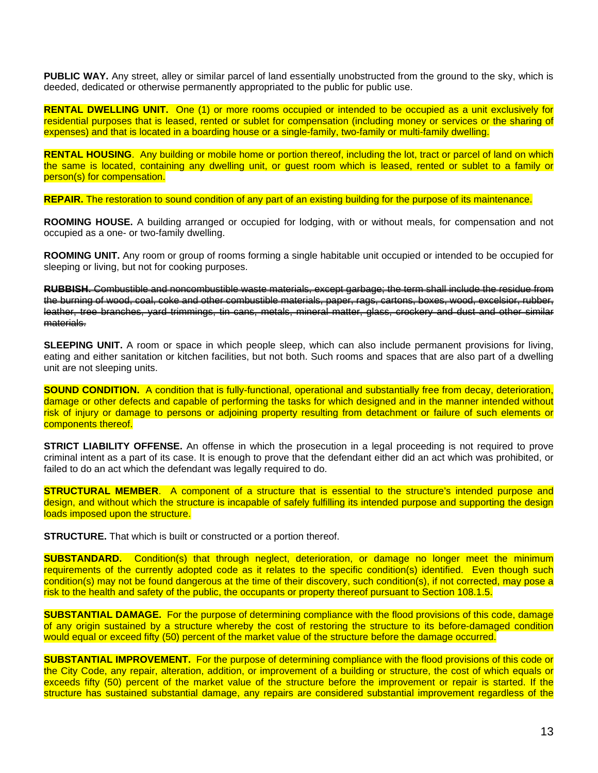**PUBLIC WAY.** Any street, alley or similar parcel of land essentially unobstructed from the ground to the sky, which is deeded, dedicated or otherwise permanently appropriated to the public for public use.

**RENTAL DWELLING UNIT.** One (1) or more rooms occupied or intended to be occupied as a unit exclusively for residential purposes that is leased, rented or sublet for compensation (including money or services or the sharing of expenses) and that is located in a boarding house or a single-family, two-family or multi-family dwelling.

**RENTAL HOUSING**. Any building or mobile home or portion thereof, including the lot, tract or parcel of land on which the same is located, containing any dwelling unit, or guest room which is leased, rented or sublet to a family or person(s) for compensation.

**REPAIR.** The restoration to sound condition of any part of an existing building for the purpose of its maintenance.

**ROOMING HOUSE.** A building arranged or occupied for lodging, with or without meals, for compensation and not occupied as a one- or two-family dwelling.

**ROOMING UNIT.** Any room or group of rooms forming a single habitable unit occupied or intended to be occupied for sleeping or living, but not for cooking purposes.

**RUBBISH.** Combustible and noncombustible waste materials, except garbage; the term shall include the residue from the burning of wood, coal, coke and other combustible materials, paper, rags, cartons, boxes, wood, excelsior, rubber, leather, tree branches, yard trimmings, tin cans, metals, mineral matter, glass, crockery and dust and other similar materials.

**SLEEPING UNIT.** A room or space in which people sleep, which can also include permanent provisions for living, eating and either sanitation or kitchen facilities, but not both. Such rooms and spaces that are also part of a dwelling unit are not sleeping units.

**SOUND CONDITION.** A condition that is fully-functional, operational and substantially free from decay, deterioration, damage or other defects and capable of performing the tasks for which designed and in the manner intended without risk of injury or damage to persons or adjoining property resulting from detachment or failure of such elements or components thereof.

**STRICT LIABILITY OFFENSE.** An offense in which the prosecution in a legal proceeding is not required to prove criminal intent as a part of its case. It is enough to prove that the defendant either did an act which was prohibited, or failed to do an act which the defendant was legally required to do.

**STRUCTURAL MEMBER**. A component of a structure that is essential to the structure's intended purpose and design, and without which the structure is incapable of safely fulfilling its intended purpose and supporting the design loads imposed upon the structure.

**STRUCTURE.** That which is built or constructed or a portion thereof.

**SUBSTANDARD.** Condition(s) that through neglect, deterioration, or damage no longer meet the minimum requirements of the currently adopted code as it relates to the specific condition(s) identified. Even though such condition(s) may not be found dangerous at the time of their discovery, such condition(s), if not corrected, may pose a risk to the health and safety of the public, the occupants or property thereof pursuant to Section 108.1.5.

**SUBSTANTIAL DAMAGE.** For the purpose of determining compliance with the flood provisions of this code, damage of any origin sustained by a structure whereby the cost of restoring the structure to its before-damaged condition would equal or exceed fifty (50) percent of the market value of the structure before the damage occurred.

**SUBSTANTIAL IMPROVEMENT.** For the purpose of determining compliance with the flood provisions of this code or the City Code, any repair, alteration, addition, or improvement of a building or structure, the cost of which equals or exceeds fifty (50) percent of the market value of the structure before the improvement or repair is started. If the structure has sustained substantial damage, any repairs are considered substantial improvement regardless of the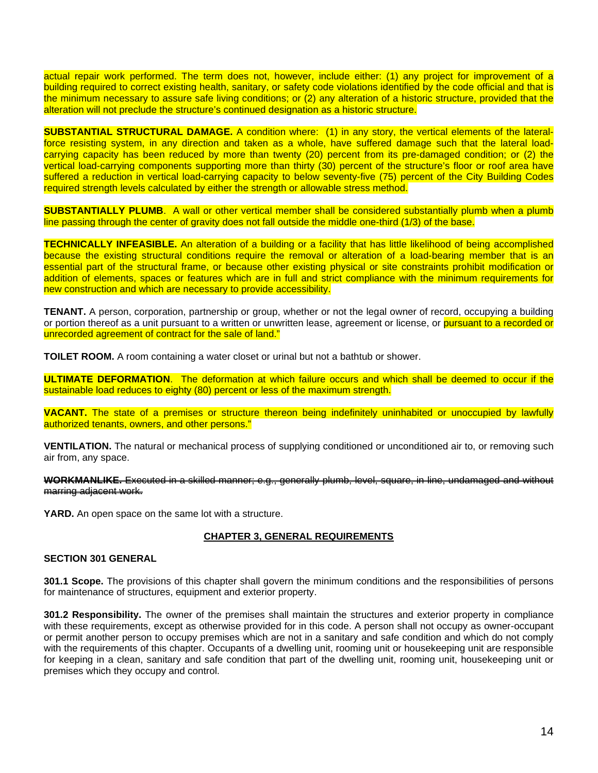actual repair work performed. The term does not, however, include either: (1) any project for improvement of a building required to correct existing health, sanitary, or safety code violations identified by the code official and that is the minimum necessary to assure safe living conditions; or (2) any alteration of a historic structure, provided that the alteration will not preclude the structure's continued designation as a historic structure.

**SUBSTANTIAL STRUCTURAL DAMAGE.** A condition where: (1) in any story, the vertical elements of the lateralforce resisting system, in any direction and taken as a whole, have suffered damage such that the lateral loadcarrying capacity has been reduced by more than twenty (20) percent from its pre-damaged condition; or (2) the vertical load-carrying components supporting more than thirty (30) percent of the structure's floor or roof area have suffered a reduction in vertical load-carrying capacity to below seventy-five (75) percent of the City Building Codes required strength levels calculated by either the strength or allowable stress method.

**SUBSTANTIALLY PLUMB**. A wall or other vertical member shall be considered substantially plumb when a plumb line passing through the center of gravity does not fall outside the middle one-third (1/3) of the base.

**TECHNICALLY INFEASIBLE.** An alteration of a building or a facility that has little likelihood of being accomplished because the existing structural conditions require the removal or alteration of a load-bearing member that is an essential part of the structural frame, or because other existing physical or site constraints prohibit modification or addition of elements, spaces or features which are in full and strict compliance with the minimum requirements for new construction and which are necessary to provide accessibility.

**TENANT.** A person, corporation, partnership or group, whether or not the legal owner of record, occupying a building or portion thereof as a unit pursuant to a written or unwritten lease, agreement or license, or **pursuant to a recorded or** unrecorded agreement of contract for the sale of land."

**TOILET ROOM.** A room containing a water closet or urinal but not a bathtub or shower.

**ULTIMATE DEFORMATION**. The deformation at which failure occurs and which shall be deemed to occur if the sustainable load reduces to eighty (80) percent or less of the maximum strength.

**VACANT.** The state of a premises or structure thereon being indefinitely uninhabited or unoccupied by lawfully authorized tenants, owners, and other persons."

**VENTILATION.** The natural or mechanical process of supplying conditioned or unconditioned air to, or removing such air from, any space.

**WORKMANLIKE.** Executed in a skilled manner; e.g., generally plumb, level, square, in line, undamaged and without marring adjacent work.

**YARD.** An open space on the same lot with a structure.

## **CHAPTER 3, GENERAL REQUIREMENTS**

### **SECTION 301 GENERAL**

**301.1 Scope.** The provisions of this chapter shall govern the minimum conditions and the responsibilities of persons for maintenance of structures, equipment and exterior property.

**301.2 Responsibility.** The owner of the premises shall maintain the structures and exterior property in compliance with these requirements, except as otherwise provided for in this code. A person shall not occupy as owner-occupant or permit another person to occupy premises which are not in a sanitary and safe condition and which do not comply with the requirements of this chapter. Occupants of a dwelling unit, rooming unit or housekeeping unit are responsible for keeping in a clean, sanitary and safe condition that part of the dwelling unit, rooming unit, housekeeping unit or premises which they occupy and control.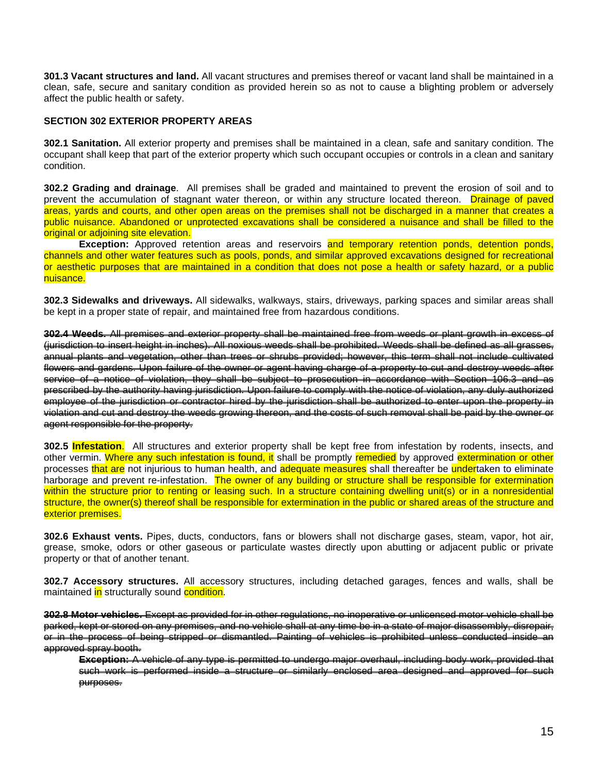**301.3 Vacant structures and land.** All vacant structures and premises thereof or vacant land shall be maintained in a clean, safe, secure and sanitary condition as provided herein so as not to cause a blighting problem or adversely affect the public health or safety.

### **SECTION 302 EXTERIOR PROPERTY AREAS**

**302.1 Sanitation.** All exterior property and premises shall be maintained in a clean, safe and sanitary condition. The occupant shall keep that part of the exterior property which such occupant occupies or controls in a clean and sanitary condition.

**302.2 Grading and drainage**. All premises shall be graded and maintained to prevent the erosion of soil and to prevent the accumulation of stagnant water thereon, or within any structure located thereon. Drainage of paved areas, yards and courts, and other open areas on the premises shall not be discharged in a manner that creates a public nuisance. Abandoned or unprotected excavations shall be considered a nuisance and shall be filled to the original or adjoining site elevation.

**Exception:** Approved retention areas and reservoirs and temporary retention ponds, detention ponds, channels and other water features such as pools, ponds, and similar approved excavations designed for recreational or aesthetic purposes that are maintained in a condition that does not pose a health or safety hazard, or a public nuisance.

**302.3 Sidewalks and driveways.** All sidewalks, walkways, stairs, driveways, parking spaces and similar areas shall be kept in a proper state of repair, and maintained free from hazardous conditions.

**302.4 Weeds.** All premises and exterior property shall be maintained free from weeds or plant growth in excess of (jurisdiction to insert height in inches). All noxious weeds shall be prohibited. Weeds shall be defined as all grasses, annual plants and vegetation, other than trees or shrubs provided; however, this term shall not include cultivated flowers and gardens. Upon failure of the owner or agent having charge of a property to cut and destroy weeds after service of a notice of violation, they shall be subject to prosecution in accordance with Section 106.3 and as prescribed by the authority having jurisdiction. Upon failure to comply with the notice of violation, any duly authorized employee of the jurisdiction or contractor hired by the jurisdiction shall be authorized to enter upon the property in violation and cut and destroy the weeds growing thereon, and the costs of such removal shall be paid by the owner or agent responsible for the property.

**302.5 Infestation**. All structures and exterior property shall be kept free from infestation by rodents, insects, and other vermin. Where any such infestation is found, it shall be promptly remedied by approved extermination or other processes that are not injurious to human health, and adequate measures shall thereafter be undertaken to eliminate harborage and prevent re-infestation. The owner of any building or structure shall be responsible for extermination within the structure prior to renting or leasing such. In a structure containing dwelling unit(s) or in a nonresidential structure, the owner(s) thereof shall be responsible for extermination in the public or shared areas of the structure and exterior premises.

**302.6 Exhaust vents.** Pipes, ducts, conductors, fans or blowers shall not discharge gases, steam, vapor, hot air, grease, smoke, odors or other gaseous or particulate wastes directly upon abutting or adjacent public or private property or that of another tenant.

**302.7 Accessory structures.** All accessory structures, including detached garages, fences and walls, shall be maintained in structurally sound condition.

**302.8 Motor vehicles.** Except as provided for in other regulations, no inoperative or unlicensed motor vehicle shall be parked, kept or stored on any premises, and no vehicle shall at any time be in a state of major disassembly, disrepair, or in the process of being stripped or dismantled. Painting of vehicles is prohibited unless conducted inside an approved spray booth.

**Exception:** A vehicle of any type is permitted to undergo major overhaul, including body work, provided that such work is performed inside a structure or similarly enclosed area designed and approved for such purposes.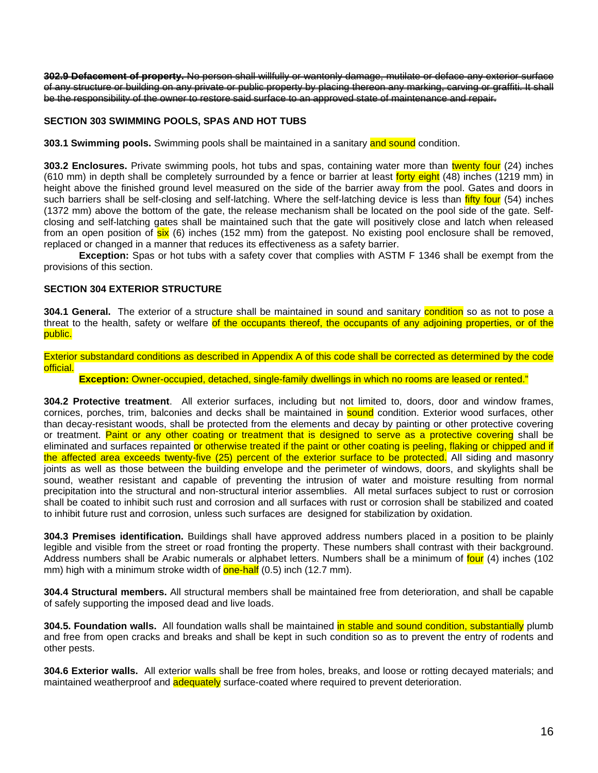**302.9 Defacement of property.** No person shall willfully or wantonly damage, mutilate or deface any exterior surface of any structure or building on any private or public property by placing thereon any marking, carving or graffiti. It shall be the responsibility of the owner to restore said surface to an approved state of maintenance and repair.

## **SECTION 303 SWIMMING POOLS, SPAS AND HOT TUBS**

**303.1 Swimming pools.** Swimming pools shall be maintained in a sanitary and sound condition.

**303.2 Enclosures.** Private swimming pools, hot tubs and spas, containing water more than twenty four (24) inches (610 mm) in depth shall be completely surrounded by a fence or barrier at least forty eight (48) inches (1219 mm) in height above the finished ground level measured on the side of the barrier away from the pool. Gates and doors in such barriers shall be self-closing and self-latching. Where the self-latching device is less than *fifty four* (54) inches (1372 mm) above the bottom of the gate, the release mechanism shall be located on the pool side of the gate. Selfclosing and self-latching gates shall be maintained such that the gate will positively close and latch when released from an open position of six (6) inches (152 mm) from the gatepost. No existing pool enclosure shall be removed, replaced or changed in a manner that reduces its effectiveness as a safety barrier.

**Exception:** Spas or hot tubs with a safety cover that complies with ASTM F 1346 shall be exempt from the provisions of this section.

## **SECTION 304 EXTERIOR STRUCTURE**

**304.1 General.** The exterior of a structure shall be maintained in sound and sanitary condition so as not to pose a threat to the health, safety or welfare of the occupants thereof, the occupants of any adjoining properties, or of the public.

Exterior substandard conditions as described in Appendix A of this code shall be corrected as determined by the code official.

**Exception:** Owner-occupied, detached, single-family dwellings in which no rooms are leased or rented."

**304.2 Protective treatment**. All exterior surfaces, including but not limited to, doors, door and window frames, cornices, porches, trim, balconies and decks shall be maintained in sound condition. Exterior wood surfaces, other than decay-resistant woods, shall be protected from the elements and decay by painting or other protective covering or treatment. Paint or any other coating or treatment that is designed to serve as a protective covering shall be eliminated and surfaces repainted or otherwise treated if the paint or other coating is peeling, flaking or chipped and if the affected area exceeds twenty-five (25) percent of the exterior surface to be protected. All siding and masonry joints as well as those between the building envelope and the perimeter of windows, doors, and skylights shall be sound, weather resistant and capable of preventing the intrusion of water and moisture resulting from normal precipitation into the structural and non-structural interior assemblies. All metal surfaces subject to rust or corrosion shall be coated to inhibit such rust and corrosion and all surfaces with rust or corrosion shall be stabilized and coated to inhibit future rust and corrosion, unless such surfaces are designed for stabilization by oxidation.

**304.3 Premises identification.** Buildings shall have approved address numbers placed in a position to be plainly legible and visible from the street or road fronting the property. These numbers shall contrast with their background. Address numbers shall be Arabic numerals or alphabet letters. Numbers shall be a minimum of four (4) inches (102 mm) high with a minimum stroke width of **one-half** (0.5) inch (12.7 mm).

**304.4 Structural members.** All structural members shall be maintained free from deterioration, and shall be capable of safely supporting the imposed dead and live loads.

**304.5. Foundation walls.** All foundation walls shall be maintained in stable and sound condition, substantially plumb and free from open cracks and breaks and shall be kept in such condition so as to prevent the entry of rodents and other pests.

**304.6 Exterior walls.** All exterior walls shall be free from holes, breaks, and loose or rotting decayed materials; and maintained weatherproof and **adequately** surface-coated where required to prevent deterioration.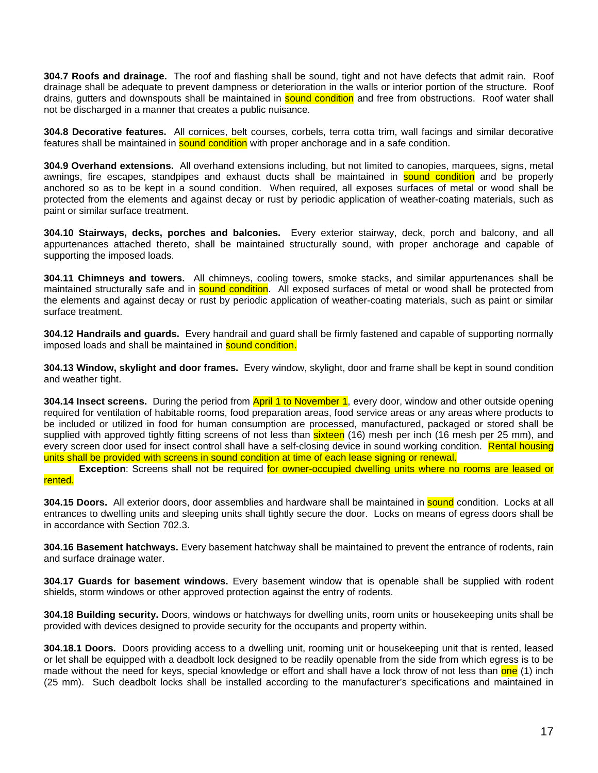**304.7 Roofs and drainage.** The roof and flashing shall be sound, tight and not have defects that admit rain. Roof drainage shall be adequate to prevent dampness or deterioration in the walls or interior portion of the structure. Roof drains, gutters and downspouts shall be maintained in **sound condition** and free from obstructions. Roof water shall not be discharged in a manner that creates a public nuisance.

**304.8 Decorative features.** All cornices, belt courses, corbels, terra cotta trim, wall facings and similar decorative features shall be maintained in **sound condition** with proper anchorage and in a safe condition.

**304.9 Overhand extensions.** All overhand extensions including, but not limited to canopies, marquees, signs, metal awnings, fire escapes, standpipes and exhaust ducts shall be maintained in sound condition and be properly anchored so as to be kept in a sound condition. When required, all exposes surfaces of metal or wood shall be protected from the elements and against decay or rust by periodic application of weather-coating materials, such as paint or similar surface treatment.

**304.10 Stairways, decks, porches and balconies.** Every exterior stairway, deck, porch and balcony, and all appurtenances attached thereto, shall be maintained structurally sound, with proper anchorage and capable of supporting the imposed loads.

**304.11 Chimneys and towers.** All chimneys, cooling towers, smoke stacks, and similar appurtenances shall be maintained structurally safe and in **sound condition**. All exposed surfaces of metal or wood shall be protected from the elements and against decay or rust by periodic application of weather-coating materials, such as paint or similar surface treatment.

**304.12 Handrails and guards.** Every handrail and guard shall be firmly fastened and capable of supporting normally imposed loads and shall be maintained in **sound condition.** 

**304.13 Window, skylight and door frames.** Every window, skylight, door and frame shall be kept in sound condition and weather tight.

**304.14 Insect screens.** During the period from April 1 to November 1, every door, window and other outside opening required for ventilation of habitable rooms, food preparation areas, food service areas or any areas where products to be included or utilized in food for human consumption are processed, manufactured, packaged or stored shall be supplied with approved tightly fitting screens of not less than sixteen (16) mesh per inch (16 mesh per 25 mm), and every screen door used for insect control shall have a self-closing device in sound working condition. Rental housing units shall be provided with screens in sound condition at time of each lease signing or renewal.

**Exception**: Screens shall not be required for owner-occupied dwelling units where no rooms are leased or rented.

**304.15 Doors.** All exterior doors, door assemblies and hardware shall be maintained in sound condition. Locks at all entrances to dwelling units and sleeping units shall tightly secure the door. Locks on means of egress doors shall be in accordance with Section 702.3.

**304.16 Basement hatchways.** Every basement hatchway shall be maintained to prevent the entrance of rodents, rain and surface drainage water.

**304.17 Guards for basement windows.** Every basement window that is openable shall be supplied with rodent shields, storm windows or other approved protection against the entry of rodents.

**304.18 Building security.** Doors, windows or hatchways for dwelling units, room units or housekeeping units shall be provided with devices designed to provide security for the occupants and property within.

**304.18.1 Doors.** Doors providing access to a dwelling unit, rooming unit or housekeeping unit that is rented, leased or let shall be equipped with a deadbolt lock designed to be readily openable from the side from which egress is to be made without the need for keys, special knowledge or effort and shall have a lock throw of not less than one (1) inch (25 mm). Such deadbolt locks shall be installed according to the manufacturer's specifications and maintained in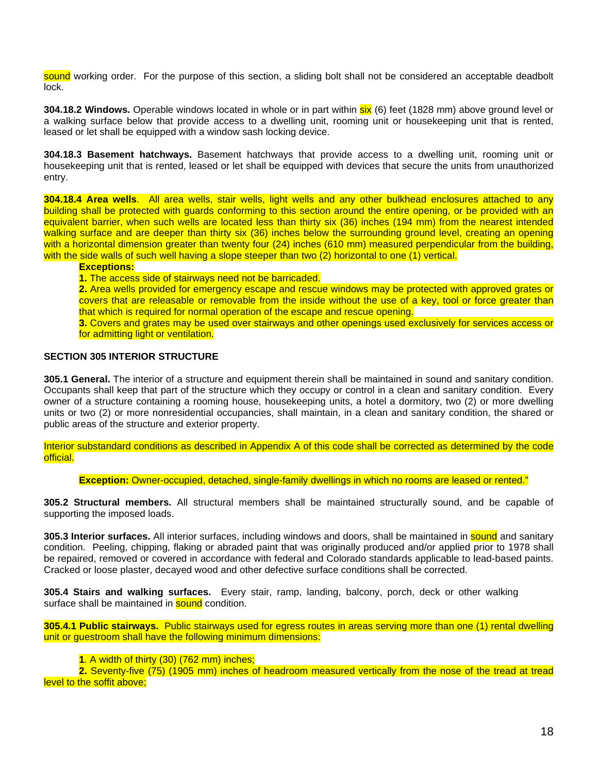sound working order. For the purpose of this section, a sliding bolt shall not be considered an acceptable deadbolt lock.

**304.18.2 Windows.** Operable windows located in whole or in part within six (6) feet (1828 mm) above ground level or a walking surface below that provide access to a dwelling unit, rooming unit or housekeeping unit that is rented, leased or let shall be equipped with a window sash locking device.

**304.18.3 Basement hatchways.** Basement hatchways that provide access to a dwelling unit, rooming unit or housekeeping unit that is rented, leased or let shall be equipped with devices that secure the units from unauthorized entry.

**304.18.4 Area wells**. All area wells, stair wells, light wells and any other bulkhead enclosures attached to any building shall be protected with guards conforming to this section around the entire opening, or be provided with an equivalent barrier, when such wells are located less than thirty six (36) inches (194 mm) from the nearest intended walking surface and are deeper than thirty six (36) inches below the surrounding ground level, creating an opening with a horizontal dimension greater than twenty four (24) inches (610 mm) measured perpendicular from the building, with the side walls of such well having a slope steeper than two (2) horizontal to one (1) vertical.

**Exceptions:**

**1.** The access side of stairways need not be barricaded.

**2.** Area wells provided for emergency escape and rescue windows may be protected with approved grates or covers that are releasable or removable from the inside without the use of a key, tool or force greater than that which is required for normal operation of the escape and rescue opening.

**3.** Covers and grates may be used over stairways and other openings used exclusively for services access or for admitting light or ventilation.

## **SECTION 305 INTERIOR STRUCTURE**

**305.1 General.** The interior of a structure and equipment therein shall be maintained in sound and sanitary condition. Occupants shall keep that part of the structure which they occupy or control in a clean and sanitary condition. Every owner of a structure containing a rooming house, housekeeping units, a hotel a dormitory, two (2) or more dwelling units or two (2) or more nonresidential occupancies, shall maintain, in a clean and sanitary condition, the shared or public areas of the structure and exterior property.

Interior substandard conditions as described in Appendix A of this code shall be corrected as determined by the code official.

**Exception:** Owner-occupied, detached, single-family dwellings in which no rooms are leased or rented."

**305.2 Structural members.** All structural members shall be maintained structurally sound, and be capable of supporting the imposed loads.

**305.3 Interior surfaces.** All interior surfaces, including windows and doors, shall be maintained in **sound** and sanitary condition. Peeling, chipping, flaking or abraded paint that was originally produced and/or applied prior to 1978 shall be repaired, removed or covered in accordance with federal and Colorado standards applicable to lead-based paints. Cracked or loose plaster, decayed wood and other defective surface conditions shall be corrected.

**305.4 Stairs and walking surfaces.** Every stair, ramp, landing, balcony, porch, deck or other walking surface shall be maintained in **sound** condition.

**305.4.1 Public stairways.** Public stairways used for egress routes in areas serving more than one (1) rental dwelling unit or guestroom shall have the following minimum dimensions:

#### **1**. A width of thirty (30) (762 mm) inches;

**2.** Seventy-five (75) (1905 mm) inches of headroom measured vertically from the nose of the tread at tread level to the soffit above;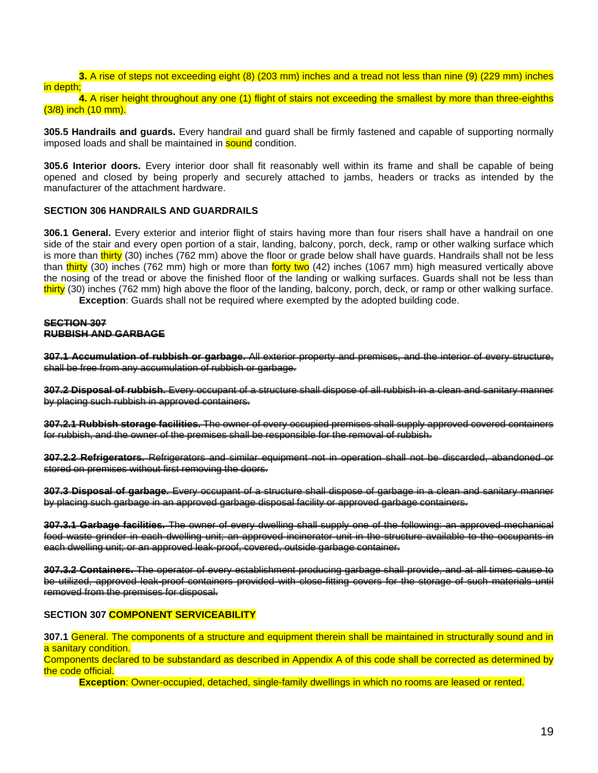# **3.** A rise of steps not exceeding eight (8) (203 mm) inches and a tread not less than nine (9) (229 mm) inches in depth;

**4.** A riser height throughout any one (1) flight of stairs not exceeding the smallest by more than three-eighths (3/8) inch (10 mm).

**305.5 Handrails and guards.** Every handrail and guard shall be firmly fastened and capable of supporting normally imposed loads and shall be maintained in **sound** condition.

**305.6 Interior doors.** Every interior door shall fit reasonably well within its frame and shall be capable of being opened and closed by being properly and securely attached to jambs, headers or tracks as intended by the manufacturer of the attachment hardware.

### **SECTION 306 HANDRAILS AND GUARDRAILS**

**306.1 General.** Every exterior and interior flight of stairs having more than four risers shall have a handrail on one side of the stair and every open portion of a stair, landing, balcony, porch, deck, ramp or other walking surface which is more than thirty (30) inches (762 mm) above the floor or grade below shall have guards. Handrails shall not be less than thirty (30) inches (762 mm) high or more than forty two (42) inches (1067 mm) high measured vertically above the nosing of the tread or above the finished floor of the landing or walking surfaces. Guards shall not be less than thirty (30) inches (762 mm) high above the floor of the landing, balcony, porch, deck, or ramp or other walking surface. **Exception**: Guards shall not be required where exempted by the adopted building code.

**SECTION 307 RUBBISH AND GARBAGE**

**307.1 Accumulation of rubbish or garbage.** All exterior property and premises, and the interior of every structure, shall be free from any accumulation of rubbish or garbage.

**307.2 Disposal of rubbish.** Every occupant of a structure shall dispose of all rubbish in a clean and sanitary manner by placing such rubbish in approved containers.

**307.2.1 Rubbish storage facilities.** The owner of every occupied premises shall supply approved covered containers for rubbish, and the owner of the premises shall be responsible for the removal of rubbish.

**307.2.2 Refrigerators.** Refrigerators and similar equipment not in operation shall not be discarded, abandoned or stored on premises without first removing the doors.

**307.3 Disposal of garbage.** Every occupant of a structure shall dispose of garbage in a clean and sanitary manner by placing such garbage in an approved garbage disposal facility or approved garbage containers.

**307.3.1 Garbage facilities.** The owner of every dwelling shall supply one of the following: an approved mechanical food waste grinder in each dwelling unit; an approved incinerator unit in the structure available to the occupants in each dwelling unit; or an approved leak-proof, covered, outside garbage container.

**307.3.2 Containers.** The operator of every establishment producing garbage shall provide, and at all times cause to be utilized, approved leak-proof containers provided with close-fitting covers for the storage of such materials until removed from the premises for disposal.

#### **SECTION 307 COMPONENT SERVICEABILITY**

**307.1** General. The components of a structure and equipment therein shall be maintained in structurally sound and in a sanitary condition.

Components declared to be substandard as described in Appendix A of this code shall be corrected as determined by the code official.

**Exception**: Owner-occupied, detached, single-family dwellings in which no rooms are leased or rented.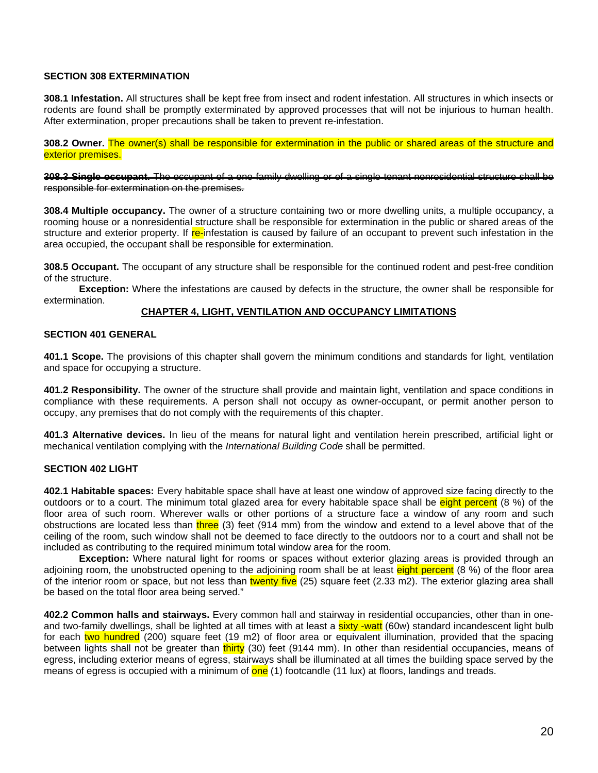## **SECTION 308 EXTERMINATION**

**308.1 Infestation.** All structures shall be kept free from insect and rodent infestation. All structures in which insects or rodents are found shall be promptly exterminated by approved processes that will not be injurious to human health. After extermination, proper precautions shall be taken to prevent re-infestation.

**308.2 Owner.** The owner(s) shall be responsible for extermination in the public or shared areas of the structure and exterior premises.

**308.3 Single occupant.** The occupant of a one-family dwelling or of a single-tenant nonresidential structure shall be responsible for extermination on the premises.

**308.4 Multiple occupancy.** The owner of a structure containing two or more dwelling units, a multiple occupancy, a rooming house or a nonresidential structure shall be responsible for extermination in the public or shared areas of the structure and exterior property. If re-infestation is caused by failure of an occupant to prevent such infestation in the area occupied, the occupant shall be responsible for extermination.

**308.5 Occupant.** The occupant of any structure shall be responsible for the continued rodent and pest-free condition of the structure.

**Exception:** Where the infestations are caused by defects in the structure, the owner shall be responsible for extermination.

#### **CHAPTER 4, LIGHT, VENTILATION AND OCCUPANCY LIMITATIONS**

#### **SECTION 401 GENERAL**

**401.1 Scope.** The provisions of this chapter shall govern the minimum conditions and standards for light, ventilation and space for occupying a structure.

**401.2 Responsibility.** The owner of the structure shall provide and maintain light, ventilation and space conditions in compliance with these requirements. A person shall not occupy as owner-occupant, or permit another person to occupy, any premises that do not comply with the requirements of this chapter.

**401.3 Alternative devices.** In lieu of the means for natural light and ventilation herein prescribed, artificial light or mechanical ventilation complying with the *International Building Code* shall be permitted.

#### **SECTION 402 LIGHT**

**402.1 Habitable spaces:** Every habitable space shall have at least one window of approved size facing directly to the outdoors or to a court. The minimum total glazed area for every habitable space shall be eight percent (8 %) of the floor area of such room. Wherever walls or other portions of a structure face a window of any room and such obstructions are located less than three (3) feet (914 mm) from the window and extend to a level above that of the ceiling of the room, such window shall not be deemed to face directly to the outdoors nor to a court and shall not be included as contributing to the required minimum total window area for the room.

**Exception:** Where natural light for rooms or spaces without exterior glazing areas is provided through an adjoining room, the unobstructed opening to the adjoining room shall be at least eight percent (8 %) of the floor area of the interior room or space, but not less than twenty five (25) square feet (2.33 m2). The exterior glazing area shall be based on the total floor area being served."

**402.2 Common halls and stairways.** Every common hall and stairway in residential occupancies, other than in oneand two-family dwellings, shall be lighted at all times with at least a **sixty -watt** (60w) standard incandescent light bulb for each two hundred (200) square feet (19 m2) of floor area or equivalent illumination, provided that the spacing between lights shall not be greater than thirty (30) feet (9144 mm). In other than residential occupancies, means of egress, including exterior means of egress, stairways shall be illuminated at all times the building space served by the means of egress is occupied with a minimum of one (1) footcandle (11 lux) at floors, landings and treads.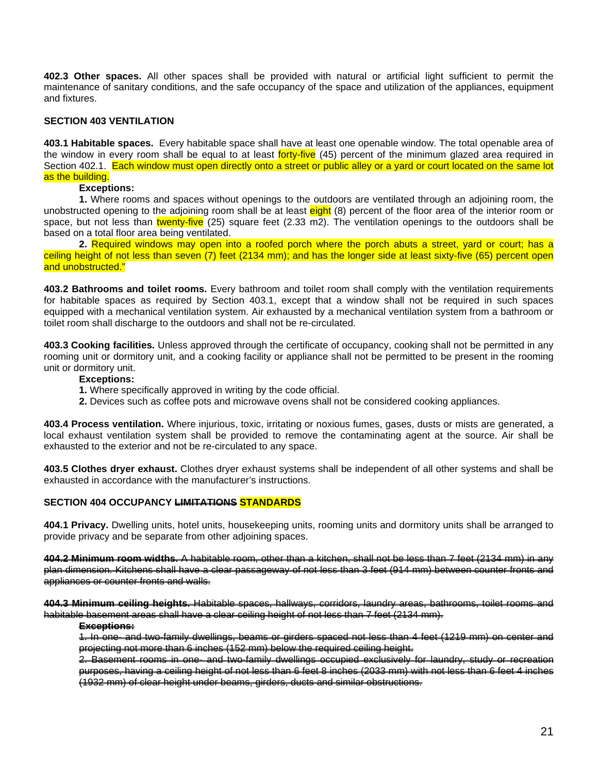**402.3 Other spaces.** All other spaces shall be provided with natural or artificial light sufficient to permit the maintenance of sanitary conditions, and the safe occupancy of the space and utilization of the appliances, equipment and fixtures.

## **SECTION 403 VENTILATION**

**403.1 Habitable spaces.** Every habitable space shall have at least one openable window. The total openable area of the window in every room shall be equal to at least forty-five (45) percent of the minimum glazed area required in Section 402.1. Each window must open directly onto a street or public alley or a yard or court located on the same lot as the building.

### **Exceptions:**

**1.** Where rooms and spaces without openings to the outdoors are ventilated through an adjoining room, the unobstructed opening to the adjoining room shall be at least eight (8) percent of the floor area of the interior room or space, but not less than twenty-five (25) square feet (2.33 m2). The ventilation openings to the outdoors shall be based on a total floor area being ventilated.

**2.** Required windows may open into a roofed porch where the porch abuts a street, yard or court; has a ceiling height of not less than seven (7) feet (2134 mm); and has the longer side at least sixty-five (65) percent open and unobstructed."

**403.2 Bathrooms and toilet rooms.** Every bathroom and toilet room shall comply with the ventilation requirements for habitable spaces as required by Section 403.1, except that a window shall not be required in such spaces equipped with a mechanical ventilation system. Air exhausted by a mechanical ventilation system from a bathroom or toilet room shall discharge to the outdoors and shall not be re-circulated.

**403.3 Cooking facilities.** Unless approved through the certificate of occupancy, cooking shall not be permitted in any rooming unit or dormitory unit, and a cooking facility or appliance shall not be permitted to be present in the rooming unit or dormitory unit.

#### **Exceptions:**

- **1.** Where specifically approved in writing by the code official.
- **2.** Devices such as coffee pots and microwave ovens shall not be considered cooking appliances.

**403.4 Process ventilation.** Where injurious, toxic, irritating or noxious fumes, gases, dusts or mists are generated, a local exhaust ventilation system shall be provided to remove the contaminating agent at the source. Air shall be exhausted to the exterior and not be re-circulated to any space.

**403.5 Clothes dryer exhaust.** Clothes dryer exhaust systems shall be independent of all other systems and shall be exhausted in accordance with the manufacturer's instructions.

## **SECTION 404 OCCUPANCY LIMITATIONS STANDARDS**

**404.1 Privacy.** Dwelling units, hotel units, housekeeping units, rooming units and dormitory units shall be arranged to provide privacy and be separate from other adjoining spaces.

**404.2 Minimum room widths.** A habitable room, other than a kitchen, shall not be less than 7 feet (2134 mm) in any plan dimension. Kitchens shall have a clear passageway of not less than 3 feet (914 mm) between counter fronts and appliances or counter fronts and walls.

**404.3 Minimum ceiling heights.** Habitable spaces, hallways, corridors, laundry areas, bathrooms, toilet rooms and habitable basement areas shall have a clear ceiling height of not less than 7 feet (2134 mm).

#### **Exceptions:**

1. In one- and two-family dwellings, beams or girders spaced not less than 4 feet (1219 mm) on center and projecting not more than 6 inches (152 mm) below the required ceiling height.

2. Basement rooms in one- and two-family dwellings occupied exclusively for laundry, study or recreation purposes, having a ceiling height of not less than 6 feet 8 inches (2033 mm) with not less than 6 feet 4 inches (1932 mm) of clear height under beams, girders, ducts and similar obstructions.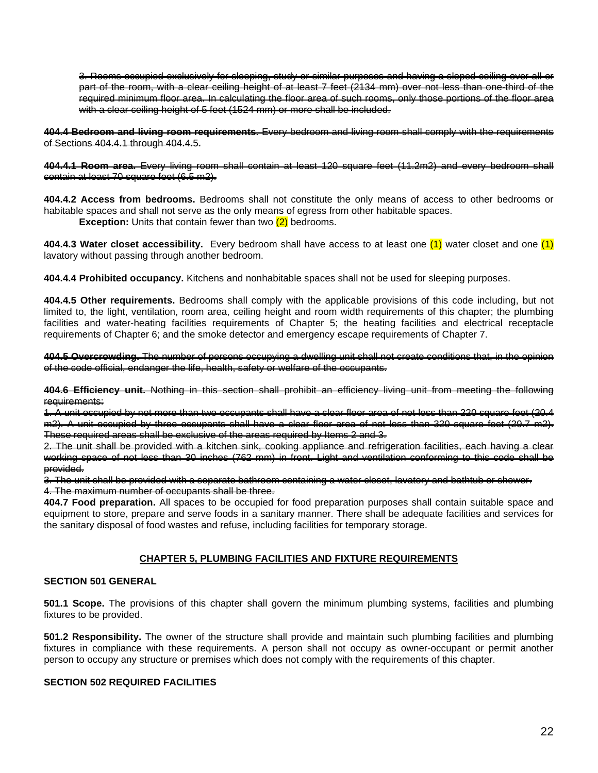3. Rooms occupied exclusively for sleeping, study or similar purposes and having a sloped ceiling over all or part of the room, with a clear ceiling height of at least 7 feet (2134 mm) over not less than one-third of the required minimum floor area. In calculating the floor area of such rooms, only those portions of the floor area with a clear ceiling height of 5 feet (1524 mm) or more shall be included.

**404.4 Bedroom and living room requirements.** Every bedroom and living room shall comply with the requirements of Sections 404.4.1 through 404.4.5.

**404.4.1 Room area.** Every living room shall contain at least 120 square feet (11.2m2) and every bedroom shall contain at least 70 square feet (6.5 m2).

**404.4.2 Access from bedrooms.** Bedrooms shall not constitute the only means of access to other bedrooms or habitable spaces and shall not serve as the only means of egress from other habitable spaces.

**Exception:** Units that contain fewer than two (2) bedrooms.

**404.4.3 Water closet accessibility.** Every bedroom shall have access to at least one (1) water closet and one (1) lavatory without passing through another bedroom.

**404.4.4 Prohibited occupancy.** Kitchens and nonhabitable spaces shall not be used for sleeping purposes.

**404.4.5 Other requirements.** Bedrooms shall comply with the applicable provisions of this code including, but not limited to, the light, ventilation, room area, ceiling height and room width requirements of this chapter; the plumbing facilities and water-heating facilities requirements of Chapter 5; the heating facilities and electrical receptacle requirements of Chapter 6; and the smoke detector and emergency escape requirements of Chapter 7.

**404.5 Overcrowding.** The number of persons occupying a dwelling unit shall not create conditions that, in the opinion of the code official, endanger the life, health, safety or welfare of the occupants.

**404.6 Efficiency unit.** Nothing in this section shall prohibit an efficiency living unit from meeting the following requirements:

1. A unit occupied by not more than two occupants shall have a clear floor area of not less than 220 square feet (20.4 m2). A unit occupied by three occupants shall have a clear floor area of not less than 320 square feet (29.7 m2). These required areas shall be exclusive of the areas required by Items 2 and 3.

2. The unit shall be provided with a kitchen sink, cooking appliance and refrigeration facilities, each having a clear working space of not less than 30 inches (762 mm) in front. Light and ventilation conforming to this code shall be provided.

3. The unit shall be provided with a separate bathroom containing a water closet, lavatory and bathtub or shower. 4. The maximum number of occupants shall be three.

**404.7 Food preparation.** All spaces to be occupied for food preparation purposes shall contain suitable space and equipment to store, prepare and serve foods in a sanitary manner. There shall be adequate facilities and services for the sanitary disposal of food wastes and refuse, including facilities for temporary storage.

#### **CHAPTER 5, PLUMBING FACILITIES AND FIXTURE REQUIREMENTS**

### **SECTION 501 GENERAL**

**501.1 Scope.** The provisions of this chapter shall govern the minimum plumbing systems, facilities and plumbing fixtures to be provided.

**501.2 Responsibility.** The owner of the structure shall provide and maintain such plumbing facilities and plumbing fixtures in compliance with these requirements. A person shall not occupy as owner-occupant or permit another person to occupy any structure or premises which does not comply with the requirements of this chapter.

## **SECTION 502 REQUIRED FACILITIES**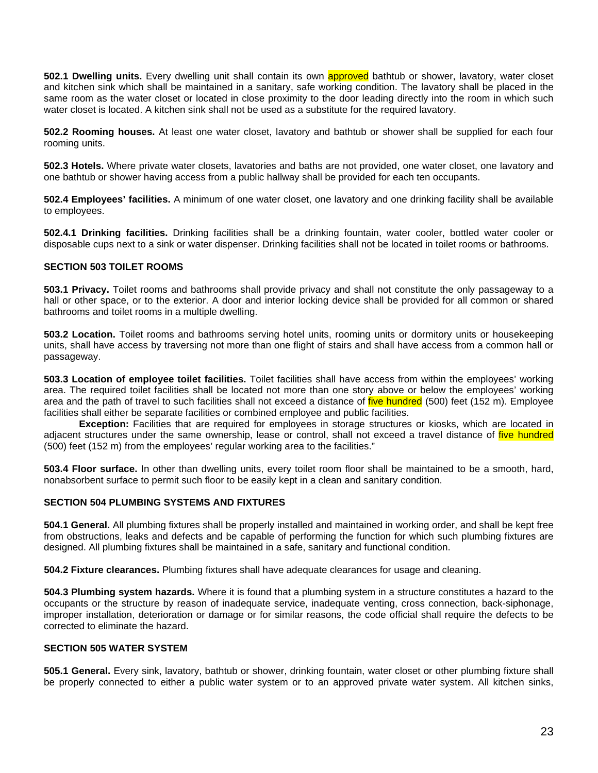**502.1 Dwelling units.** Every dwelling unit shall contain its own approved bathtub or shower, lavatory, water closet and kitchen sink which shall be maintained in a sanitary, safe working condition. The lavatory shall be placed in the same room as the water closet or located in close proximity to the door leading directly into the room in which such water closet is located. A kitchen sink shall not be used as a substitute for the required lavatory.

**502.2 Rooming houses.** At least one water closet, lavatory and bathtub or shower shall be supplied for each four rooming units.

**502.3 Hotels.** Where private water closets, lavatories and baths are not provided, one water closet, one lavatory and one bathtub or shower having access from a public hallway shall be provided for each ten occupants.

**502.4 Employees' facilities.** A minimum of one water closet, one lavatory and one drinking facility shall be available to employees.

**502.4.1 Drinking facilities.** Drinking facilities shall be a drinking fountain, water cooler, bottled water cooler or disposable cups next to a sink or water dispenser. Drinking facilities shall not be located in toilet rooms or bathrooms.

### **SECTION 503 TOILET ROOMS**

**503.1 Privacy.** Toilet rooms and bathrooms shall provide privacy and shall not constitute the only passageway to a hall or other space, or to the exterior. A door and interior locking device shall be provided for all common or shared bathrooms and toilet rooms in a multiple dwelling.

**503.2 Location.** Toilet rooms and bathrooms serving hotel units, rooming units or dormitory units or housekeeping units, shall have access by traversing not more than one flight of stairs and shall have access from a common hall or passageway.

**503.3 Location of employee toilet facilities.** Toilet facilities shall have access from within the employees' working area. The required toilet facilities shall be located not more than one story above or below the employees' working area and the path of travel to such facilities shall not exceed a distance of five hundred (500) feet (152 m). Employee facilities shall either be separate facilities or combined employee and public facilities.

**Exception:** Facilities that are required for employees in storage structures or kiosks, which are located in adjacent structures under the same ownership, lease or control, shall not exceed a travel distance of *five hundred* (500) feet (152 m) from the employees' regular working area to the facilities."

**503.4 Floor surface.** In other than dwelling units, every toilet room floor shall be maintained to be a smooth, hard, nonabsorbent surface to permit such floor to be easily kept in a clean and sanitary condition.

#### **SECTION 504 PLUMBING SYSTEMS AND FIXTURES**

**504.1 General.** All plumbing fixtures shall be properly installed and maintained in working order, and shall be kept free from obstructions, leaks and defects and be capable of performing the function for which such plumbing fixtures are designed. All plumbing fixtures shall be maintained in a safe, sanitary and functional condition.

**504.2 Fixture clearances.** Plumbing fixtures shall have adequate clearances for usage and cleaning.

**504.3 Plumbing system hazards.** Where it is found that a plumbing system in a structure constitutes a hazard to the occupants or the structure by reason of inadequate service, inadequate venting, cross connection, back-siphonage, improper installation, deterioration or damage or for similar reasons, the code official shall require the defects to be corrected to eliminate the hazard.

### **SECTION 505 WATER SYSTEM**

**505.1 General.** Every sink, lavatory, bathtub or shower, drinking fountain, water closet or other plumbing fixture shall be properly connected to either a public water system or to an approved private water system. All kitchen sinks,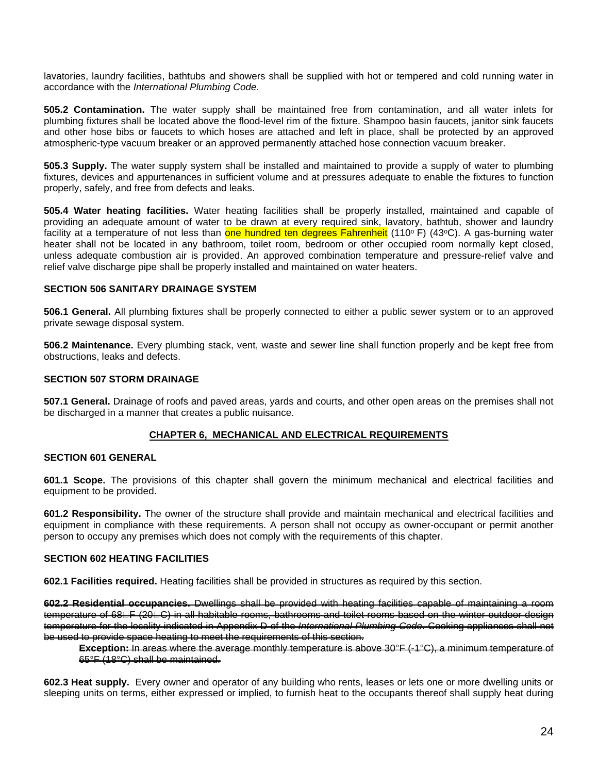lavatories, laundry facilities, bathtubs and showers shall be supplied with hot or tempered and cold running water in accordance with the *International Plumbing Code*.

**505.2 Contamination.** The water supply shall be maintained free from contamination, and all water inlets for plumbing fixtures shall be located above the flood-level rim of the fixture. Shampoo basin faucets, janitor sink faucets and other hose bibs or faucets to which hoses are attached and left in place, shall be protected by an approved atmospheric-type vacuum breaker or an approved permanently attached hose connection vacuum breaker.

**505.3 Supply.** The water supply system shall be installed and maintained to provide a supply of water to plumbing fixtures, devices and appurtenances in sufficient volume and at pressures adequate to enable the fixtures to function properly, safely, and free from defects and leaks.

**505.4 Water heating facilities.** Water heating facilities shall be properly installed, maintained and capable of providing an adequate amount of water to be drawn at every required sink, lavatory, bathtub, shower and laundry facility at a temperature of not less than one hundred ten degrees Fahrenheit (110°F) (43°C). A gas-burning water heater shall not be located in any bathroom, toilet room, bedroom or other occupied room normally kept closed, unless adequate combustion air is provided. An approved combination temperature and pressure-relief valve and relief valve discharge pipe shall be properly installed and maintained on water heaters.

## **SECTION 506 SANITARY DRAINAGE SYSTEM**

**506.1 General.** All plumbing fixtures shall be properly connected to either a public sewer system or to an approved private sewage disposal system.

**506.2 Maintenance.** Every plumbing stack, vent, waste and sewer line shall function properly and be kept free from obstructions, leaks and defects.

### **SECTION 507 STORM DRAINAGE**

**507.1 General.** Drainage of roofs and paved areas, yards and courts, and other open areas on the premises shall not be discharged in a manner that creates a public nuisance.

## **CHAPTER 6, MECHANICAL AND ELECTRICAL REQUIREMENTS**

### **SECTION 601 GENERAL**

**601.1 Scope.** The provisions of this chapter shall govern the minimum mechanical and electrical facilities and equipment to be provided.

**601.2 Responsibility.** The owner of the structure shall provide and maintain mechanical and electrical facilities and equipment in compliance with these requirements. A person shall not occupy as owner-occupant or permit another person to occupy any premises which does not comply with the requirements of this chapter.

### **SECTION 602 HEATING FACILITIES**

**602.1 Facilities required.** Heating facilities shall be provided in structures as required by this section.

**602.2 Residential occupancies.** Dwellings shall be provided with heating facilities capable of maintaining a room temperature of 68FF (20FC) in all habitable rooms, bathrooms and toilet rooms based on the winter outdoor design temperature for the locality indicated in Appendix D of the *International Plumbing Code*. Cooking appliances shall not be used to provide space heating to meet the requirements of this section.

**Exception:** In areas where the average monthly temperature is above 30°F (-1°C), a minimum temperature of 65°F (18°C) shall be maintained.

**602.3 Heat supply.** Every owner and operator of any building who rents, leases or lets one or more dwelling units or sleeping units on terms, either expressed or implied, to furnish heat to the occupants thereof shall supply heat during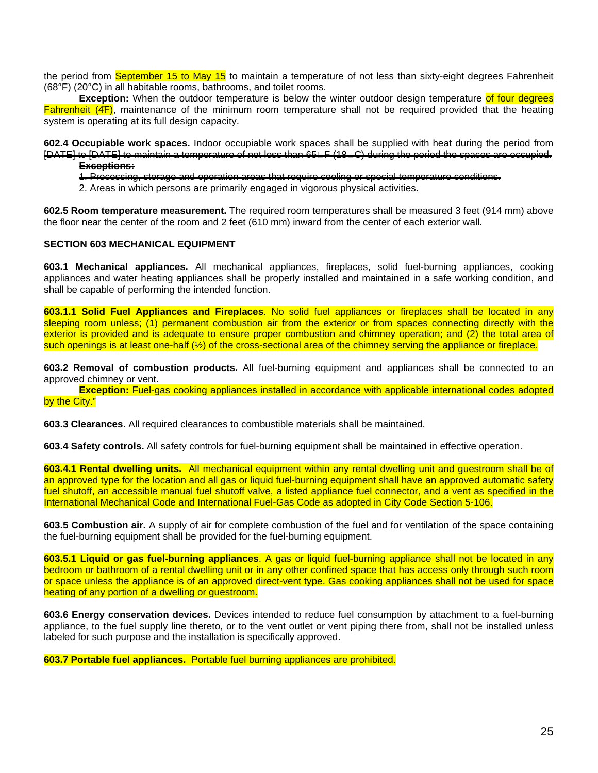the period from September 15 to May 15 to maintain a temperature of not less than sixty-eight degrees Fahrenheit (68°F) (20°C) in all habitable rooms, bathrooms, and toilet rooms.

**Exception:** When the outdoor temperature is below the winter outdoor design temperature of four degrees Fahrenheit (4̊F), maintenance of the minimum room temperature shall not be required provided that the heating system is operating at its full design capacity.

**602.4 Occupiable work spaces.** Indoor occupiable work spaces shall be supplied with heat during the period from IDATEI to IDATEI to maintain a temperature of not less than 65⊟F (18⊟C) during the period the spaces are occupied. **Exceptions:**

1. Processing, storage and operation areas that require cooling or special temperature conditions.

2. Areas in which persons are primarily engaged in vigorous physical activities.

**602.5 Room temperature measurement.** The required room temperatures shall be measured 3 feet (914 mm) above the floor near the center of the room and 2 feet (610 mm) inward from the center of each exterior wall.

### **SECTION 603 MECHANICAL EQUIPMENT**

**603.1 Mechanical appliances.** All mechanical appliances, fireplaces, solid fuel-burning appliances, cooking appliances and water heating appliances shall be properly installed and maintained in a safe working condition, and shall be capable of performing the intended function.

**603.1.1 Solid Fuel Appliances and Fireplaces**. No solid fuel appliances or fireplaces shall be located in any sleeping room unless; (1) permanent combustion air from the exterior or from spaces connecting directly with the exterior is provided and is adequate to ensure proper combustion and chimney operation; and (2) the total area of such openings is at least one-half (½) of the cross-sectional area of the chimney serving the appliance or fireplace.

**603.2 Removal of combustion products.** All fuel-burning equipment and appliances shall be connected to an approved chimney or vent.

**Exception:** Fuel-gas cooking appliances installed in accordance with applicable international codes adopted by the City."

**603.3 Clearances.** All required clearances to combustible materials shall be maintained.

**603.4 Safety controls.** All safety controls for fuel-burning equipment shall be maintained in effective operation.

**603.4.1 Rental dwelling units.** All mechanical equipment within any rental dwelling unit and guestroom shall be of an approved type for the location and all gas or liquid fuel-burning equipment shall have an approved automatic safety fuel shutoff, an accessible manual fuel shutoff valve, a listed appliance fuel connector, and a vent as specified in the International Mechanical Code and International Fuel-Gas Code as adopted in City Code Section 5-106.

**603.5 Combustion air.** A supply of air for complete combustion of the fuel and for ventilation of the space containing the fuel-burning equipment shall be provided for the fuel-burning equipment.

**603.5.1 Liquid or gas fuel-burning appliances**. A gas or liquid fuel-burning appliance shall not be located in any bedroom or bathroom of a rental dwelling unit or in any other confined space that has access only through such room or space unless the appliance is of an approved direct-vent type. Gas cooking appliances shall not be used for space heating of any portion of a dwelling or questroom.

**603.6 Energy conservation devices.** Devices intended to reduce fuel consumption by attachment to a fuel-burning appliance, to the fuel supply line thereto, or to the vent outlet or vent piping there from, shall not be installed unless labeled for such purpose and the installation is specifically approved.

**603.7 Portable fuel appliances.** Portable fuel burning appliances are prohibited.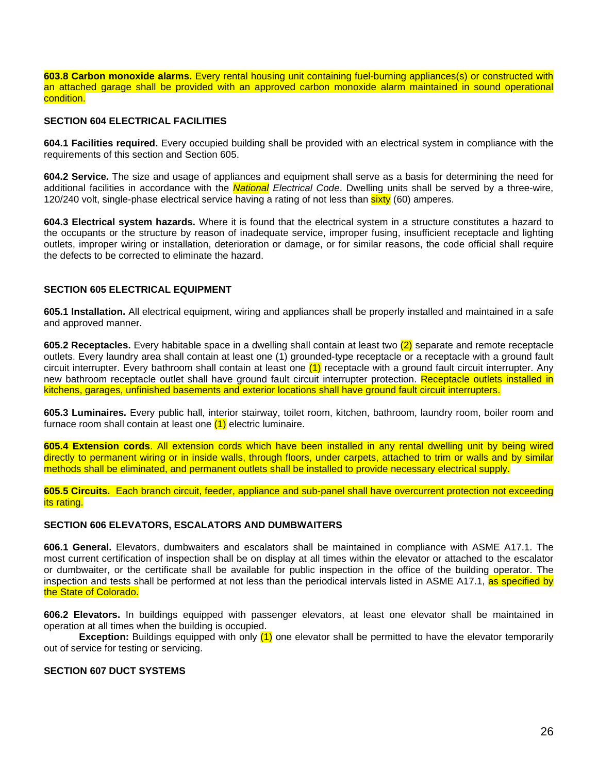**603.8 Carbon monoxide alarms.** Every rental housing unit containing fuel-burning appliances(s) or constructed with an attached garage shall be provided with an approved carbon monoxide alarm maintained in sound operational condition.

## **SECTION 604 ELECTRICAL FACILITIES**

**604.1 Facilities required.** Every occupied building shall be provided with an electrical system in compliance with the requirements of this section and Section 605.

**604.2 Service.** The size and usage of appliances and equipment shall serve as a basis for determining the need for additional facilities in accordance with the *National Electrical Code*. Dwelling units shall be served by a three-wire, 120/240 volt, single-phase electrical service having a rating of not less than **sixty** (60) amperes.

**604.3 Electrical system hazards.** Where it is found that the electrical system in a structure constitutes a hazard to the occupants or the structure by reason of inadequate service, improper fusing, insufficient receptacle and lighting outlets, improper wiring or installation, deterioration or damage, or for similar reasons, the code official shall require the defects to be corrected to eliminate the hazard.

## **SECTION 605 ELECTRICAL EQUIPMENT**

**605.1 Installation.** All electrical equipment, wiring and appliances shall be properly installed and maintained in a safe and approved manner.

**605.2 Receptacles.** Every habitable space in a dwelling shall contain at least two (2) separate and remote receptacle outlets. Every laundry area shall contain at least one (1) grounded-type receptacle or a receptacle with a ground fault circuit interrupter. Every bathroom shall contain at least one  $(1)$  receptacle with a ground fault circuit interrupter. Any new bathroom receptacle outlet shall have ground fault circuit interrupter protection. Receptacle outlets installed in kitchens, garages, unfinished basements and exterior locations shall have ground fault circuit interrupters.

**605.3 Luminaires.** Every public hall, interior stairway, toilet room, kitchen, bathroom, laundry room, boiler room and furnace room shall contain at least one (1) electric luminaire.

**605.4 Extension cords**. All extension cords which have been installed in any rental dwelling unit by being wired directly to permanent wiring or in inside walls, through floors, under carpets, attached to trim or walls and by similar methods shall be eliminated, and permanent outlets shall be installed to provide necessary electrical supply.

**605.5 Circuits.** Each branch circuit, feeder, appliance and sub-panel shall have overcurrent protection not exceeding its rating.

#### **SECTION 606 ELEVATORS, ESCALATORS AND DUMBWAITERS**

**606.1 General.** Elevators, dumbwaiters and escalators shall be maintained in compliance with ASME A17.1. The most current certification of inspection shall be on display at all times within the elevator or attached to the escalator or dumbwaiter, or the certificate shall be available for public inspection in the office of the building operator. The inspection and tests shall be performed at not less than the periodical intervals listed in ASME A17.1, as specified by the State of Colorado.

**606.2 Elevators.** In buildings equipped with passenger elevators, at least one elevator shall be maintained in operation at all times when the building is occupied.

**Exception:** Buildings equipped with only (1) one elevator shall be permitted to have the elevator temporarily out of service for testing or servicing.

#### **SECTION 607 DUCT SYSTEMS**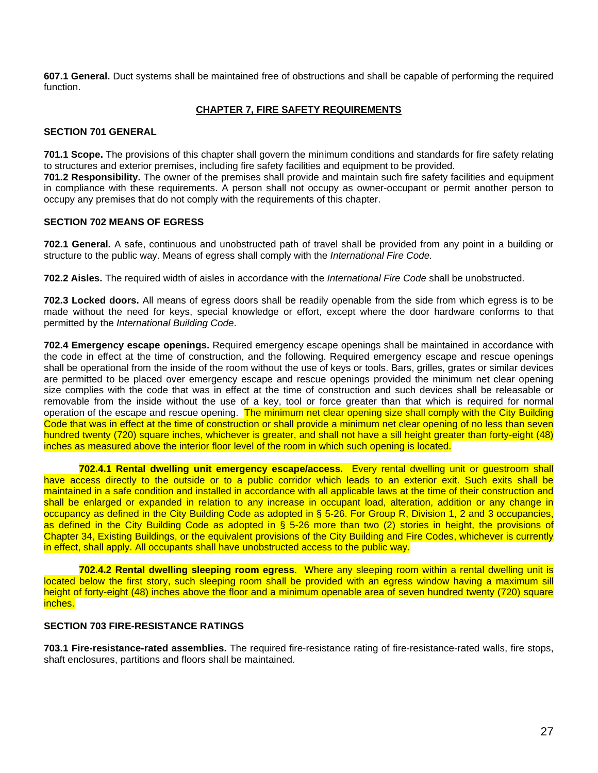**607.1 General.** Duct systems shall be maintained free of obstructions and shall be capable of performing the required function.

## **CHAPTER 7, FIRE SAFETY REQUIREMENTS**

## **SECTION 701 GENERAL**

**701.1 Scope.** The provisions of this chapter shall govern the minimum conditions and standards for fire safety relating to structures and exterior premises, including fire safety facilities and equipment to be provided.

**701.2 Responsibility.** The owner of the premises shall provide and maintain such fire safety facilities and equipment in compliance with these requirements. A person shall not occupy as owner-occupant or permit another person to occupy any premises that do not comply with the requirements of this chapter.

### **SECTION 702 MEANS OF EGRESS**

**702.1 General.** A safe, continuous and unobstructed path of travel shall be provided from any point in a building or structure to the public way. Means of egress shall comply with the *International Fire Code.*

**702.2 Aisles.** The required width of aisles in accordance with the *International Fire Code* shall be unobstructed.

**702.3 Locked doors.** All means of egress doors shall be readily openable from the side from which egress is to be made without the need for keys, special knowledge or effort, except where the door hardware conforms to that permitted by the *International Building Code*.

**702.4 Emergency escape openings.** Required emergency escape openings shall be maintained in accordance with the code in effect at the time of construction, and the following. Required emergency escape and rescue openings shall be operational from the inside of the room without the use of keys or tools. Bars, grilles, grates or similar devices are permitted to be placed over emergency escape and rescue openings provided the minimum net clear opening size complies with the code that was in effect at the time of construction and such devices shall be releasable or removable from the inside without the use of a key, tool or force greater than that which is required for normal operation of the escape and rescue opening. The minimum net clear opening size shall comply with the City Building Code that was in effect at the time of construction or shall provide a minimum net clear opening of no less than seven hundred twenty (720) square inches, whichever is greater, and shall not have a sill height greater than forty-eight (48) inches as measured above the interior floor level of the room in which such opening is located.

**702.4.1 Rental dwelling unit emergency escape/access.** Every rental dwelling unit or guestroom shall have access directly to the outside or to a public corridor which leads to an exterior exit. Such exits shall be maintained in a safe condition and installed in accordance with all applicable laws at the time of their construction and shall be enlarged or expanded in relation to any increase in occupant load, alteration, addition or any change in occupancy as defined in the City Building Code as adopted in § 5-26. For Group R, Division 1, 2 and 3 occupancies, as defined in the City Building Code as adopted in § 5-26 more than two (2) stories in height, the provisions of Chapter 34, Existing Buildings, or the equivalent provisions of the City Building and Fire Codes, whichever is currently in effect, shall apply. All occupants shall have unobstructed access to the public way.

**702.4.2 Rental dwelling sleeping room egress**. Where any sleeping room within a rental dwelling unit is located below the first story, such sleeping room shall be provided with an egress window having a maximum sill height of forty-eight (48) inches above the floor and a minimum openable area of seven hundred twenty (720) square inches.

## **SECTION 703 FIRE-RESISTANCE RATINGS**

**703.1 Fire-resistance-rated assemblies.** The required fire-resistance rating of fire-resistance-rated walls, fire stops, shaft enclosures, partitions and floors shall be maintained.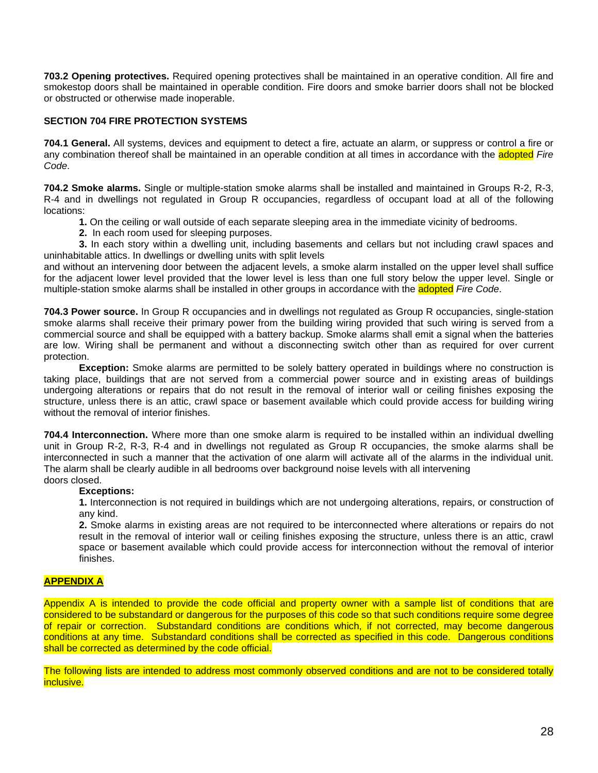**703.2 Opening protectives.** Required opening protectives shall be maintained in an operative condition. All fire and smokestop doors shall be maintained in operable condition. Fire doors and smoke barrier doors shall not be blocked or obstructed or otherwise made inoperable.

## **SECTION 704 FIRE PROTECTION SYSTEMS**

**704.1 General.** All systems, devices and equipment to detect a fire, actuate an alarm, or suppress or control a fire or any combination thereof shall be maintained in an operable condition at all times in accordance with the adopted *Fire Code*.

**704.2 Smoke alarms.** Single or multiple-station smoke alarms shall be installed and maintained in Groups R-2, R-3, R-4 and in dwellings not regulated in Group R occupancies, regardless of occupant load at all of the following locations:

- **1.** On the ceiling or wall outside of each separate sleeping area in the immediate vicinity of bedrooms.
- **2.** In each room used for sleeping purposes.

**3.** In each story within a dwelling unit, including basements and cellars but not including crawl spaces and uninhabitable attics. In dwellings or dwelling units with split levels

and without an intervening door between the adjacent levels, a smoke alarm installed on the upper level shall suffice for the adjacent lower level provided that the lower level is less than one full story below the upper level. Single or multiple-station smoke alarms shall be installed in other groups in accordance with the adopted *Fire Code*.

**704.3 Power source.** In Group R occupancies and in dwellings not regulated as Group R occupancies, single-station smoke alarms shall receive their primary power from the building wiring provided that such wiring is served from a commercial source and shall be equipped with a battery backup. Smoke alarms shall emit a signal when the batteries are low. Wiring shall be permanent and without a disconnecting switch other than as required for over current protection.

**Exception:** Smoke alarms are permitted to be solely battery operated in buildings where no construction is taking place, buildings that are not served from a commercial power source and in existing areas of buildings undergoing alterations or repairs that do not result in the removal of interior wall or ceiling finishes exposing the structure, unless there is an attic, crawl space or basement available which could provide access for building wiring without the removal of interior finishes.

**704.4 Interconnection.** Where more than one smoke alarm is required to be installed within an individual dwelling unit in Group R-2, R-3, R-4 and in dwellings not regulated as Group R occupancies, the smoke alarms shall be interconnected in such a manner that the activation of one alarm will activate all of the alarms in the individual unit. The alarm shall be clearly audible in all bedrooms over background noise levels with all intervening doors closed.

#### **Exceptions:**

**1.** Interconnection is not required in buildings which are not undergoing alterations, repairs, or construction of any kind.

**2.** Smoke alarms in existing areas are not required to be interconnected where alterations or repairs do not result in the removal of interior wall or ceiling finishes exposing the structure, unless there is an attic, crawl space or basement available which could provide access for interconnection without the removal of interior finishes.

## **APPENDIX A**

Appendix A is intended to provide the code official and property owner with a sample list of conditions that are considered to be substandard or dangerous for the purposes of this code so that such conditions require some degree of repair or correction. Substandard conditions are conditions which, if not corrected, may become dangerous conditions at any time. Substandard conditions shall be corrected as specified in this code. Dangerous conditions shall be corrected as determined by the code official.

The following lists are intended to address most commonly observed conditions and are not to be considered totally inclusive.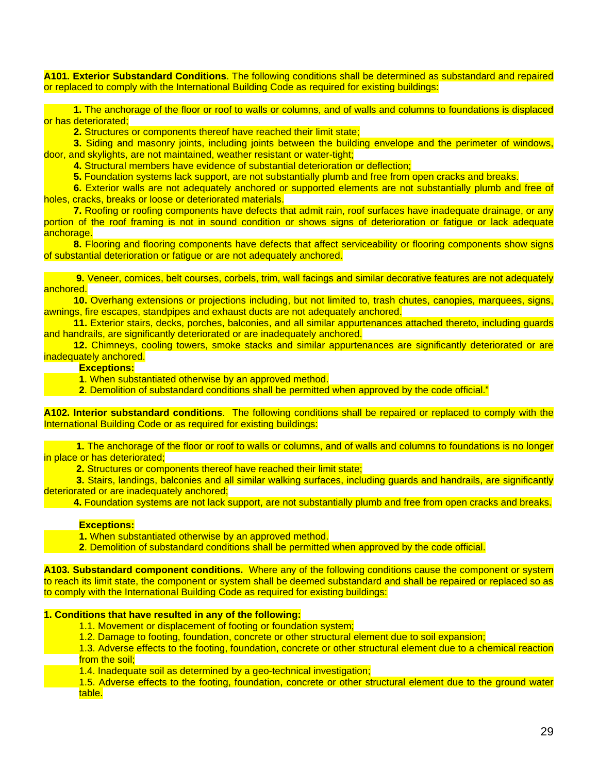**A101. Exterior Substandard Conditions**. The following conditions shall be determined as substandard and repaired or replaced to comply with the International Building Code as required for existing buildings:

 **1.** The anchorage of the floor or roof to walls or columns, and of walls and columns to foundations is displaced or has deteriorated;

**2.** Structures or components thereof have reached their limit state;

 **3.** Siding and masonry joints, including joints between the building envelope and the perimeter of windows, door, and skylights, are not maintained, weather resistant or water-tight;

**4.** Structural members have evidence of substantial deterioration or deflection;

**5.** Foundation systems lack support, are not substantially plumb and free from open cracks and breaks.

 **6.** Exterior walls are not adequately anchored or supported elements are not substantially plumb and free of holes, cracks, breaks or loose or deteriorated materials.

 **7.** Roofing or roofing components have defects that admit rain, roof surfaces have inadequate drainage, or any portion of the roof framing is not in sound condition or shows signs of deterioration or fatigue or lack adequate anchorage.

 **8.** Flooring and flooring components have defects that affect serviceability or flooring components show signs of substantial deterioration or fatigue or are not adequately anchored.

 **9.** Veneer, cornices, belt courses, corbels, trim, wall facings and similar decorative features are not adequately anchored.

 **10.** Overhang extensions or projections including, but not limited to, trash chutes, canopies, marquees, signs, awnings, fire escapes, standpipes and exhaust ducts are not adequately anchored.

 **11.** Exterior stairs, decks, porches, balconies, and all similar appurtenances attached thereto, including guards and handrails, are significantly deteriorated or are inadequately anchored.

 **12.** Chimneys, cooling towers, smoke stacks and similar appurtenances are significantly deteriorated or are inadequately anchored.

### **Exceptions:**

**1**. When substantiated otherwise by an approved method.

**2**. Demolition of substandard conditions shall be permitted when approved by the code official."

**A102. Interior substandard conditions**. The following conditions shall be repaired or replaced to comply with the International Building Code or as required for existing buildings:

 **1.** The anchorage of the floor or roof to walls or columns, and of walls and columns to foundations is no longer in place or has deteriorated;

 **2.** Structures or components thereof have reached their limit state;

 **3.** Stairs, landings, balconies and all similar walking surfaces, including guards and handrails, are significantly deteriorated or are inadequately anchored;

 **4.** Foundation systems are not lack support, are not substantially plumb and free from open cracks and breaks.

#### **Exceptions:**

- **1.** When substantiated otherwise by an approved method.
- **2**. Demolition of substandard conditions shall be permitted when approved by the code official.

**A103. Substandard component conditions.** Where any of the following conditions cause the component or system to reach its limit state, the component or system shall be deemed substandard and shall be repaired or replaced so as to comply with the International Building Code as required for existing buildings:

#### **1. Conditions that have resulted in any of the following:**

- 1.1. Movement or displacement of footing or foundation system;
- 1.2. Damage to footing, foundation, concrete or other structural element due to soil expansion;

1.3. Adverse effects to the footing, foundation, concrete or other structural element due to a chemical reaction from the soil:

1.4. Inadequate soil as determined by a geo-technical investigation;

1.5. Adverse effects to the footing, foundation, concrete or other structural element due to the ground water table.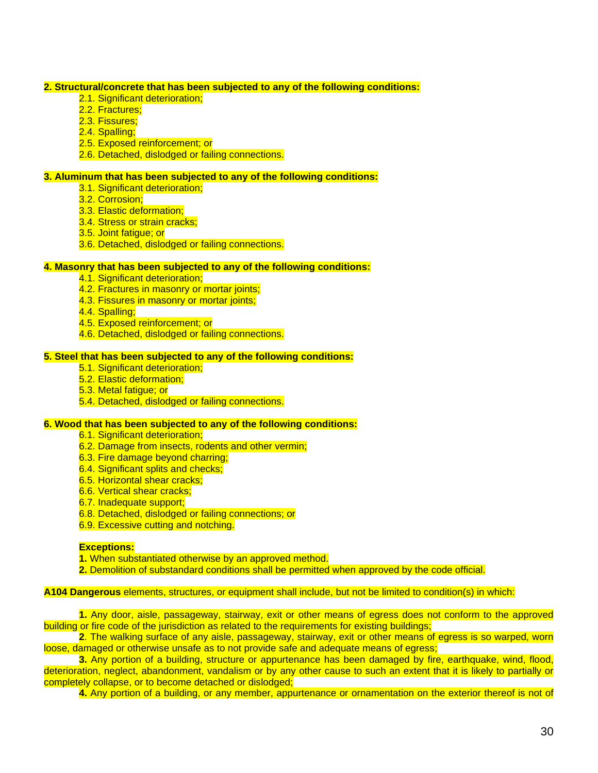#### **2. Structural/concrete that has been subjected to any of the following conditions:**

- 2.1. Significant deterioration:
- 2.2. Fractures:
- 2.3. Fissures;
- 2.4. Spalling:
- 2.5. Exposed reinforcement; or
- 2.6. Detached, dislodged or failing connections.

### **3. Aluminum that has been subjected to any of the following conditions:**

- 3.1. Significant deterioration:
- 3.2. Corrosion;
- 3.3. Elastic deformation;
- 3.4. Stress or strain cracks;
- 3.5. Joint fatigue; or
- 3.6. Detached, dislodged or failing connections.

#### **4. Masonry that has been subjected to any of the following conditions:**

- 4.1. Significant deterioration;
- 4.2. Fractures in masonry or mortar joints;
- 4.3. Fissures in masonry or mortar joints;
- 4.4. Spalling;
- 4.5. Exposed reinforcement; or
- 4.6. Detached, dislodged or failing connections.

## **5. Steel that has been subjected to any of the following conditions:**

- 5.1. Significant deterioration;
- 5.2. Elastic deformation;
- 5.3. Metal fatigue; or
- 5.4. Detached, dislodged or failing connections.

## **6. Wood that has been subjected to any of the following conditions:**

- 6.1. Significant deterioration;
- 6.2. Damage from insects, rodents and other vermin;
- 6.3. Fire damage beyond charring;
- 6.4. Significant splits and checks:
- 6.5. Horizontal shear cracks;
- 6.6. Vertical shear cracks;
- 6.7. Inadequate support;
- 6.8. Detached, dislodged or failing connections; or
- 6.9. Excessive cutting and notching.

#### **Exceptions:**

**1.** When substantiated otherwise by an approved method.

**2.** Demolition of substandard conditions shall be permitted when approved by the code official.

#### **A104 Dangerous** elements, structures, or equipment shall include, but not be limited to condition(s) in which:

**1.** Any door, aisle, passageway, stairway, exit or other means of egress does not conform to the approved building or fire code of the jurisdiction as related to the requirements for existing buildings;

**2**. The walking surface of any aisle, passageway, stairway, exit or other means of egress is so warped, worn loose, damaged or otherwise unsafe as to not provide safe and adequate means of egress;

**3.** Any portion of a building, structure or appurtenance has been damaged by fire, earthquake, wind, flood, deterioration, neglect, abandonment, vandalism or by any other cause to such an extent that it is likely to partially or completely collapse, or to become detached or dislodged;

**4.** Any portion of a building, or any member, appurtenance or ornamentation on the exterior thereof is not of